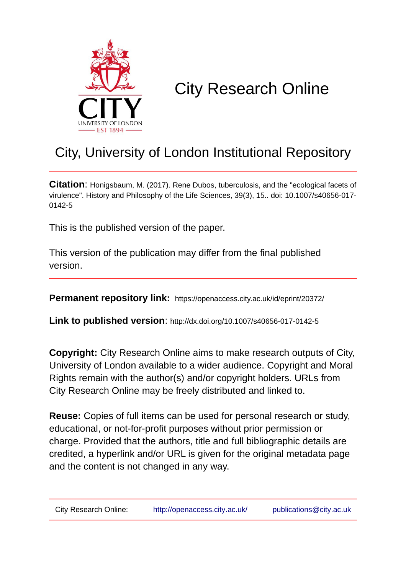

# City Research Online

## City, University of London Institutional Repository

**Citation**: Honigsbaum, M. (2017). Rene Dubos, tuberculosis, and the "ecological facets of virulence". History and Philosophy of the Life Sciences, 39(3), 15.. doi: 10.1007/s40656-017- 0142-5

This is the published version of the paper.

This version of the publication may differ from the final published version.

**Permanent repository link:** https://openaccess.city.ac.uk/id/eprint/20372/

**Link to published version**: http://dx.doi.org/10.1007/s40656-017-0142-5

**Copyright:** City Research Online aims to make research outputs of City, University of London available to a wider audience. Copyright and Moral Rights remain with the author(s) and/or copyright holders. URLs from City Research Online may be freely distributed and linked to.

**Reuse:** Copies of full items can be used for personal research or study, educational, or not-for-profit purposes without prior permission or charge. Provided that the authors, title and full bibliographic details are credited, a hyperlink and/or URL is given for the original metadata page and the content is not changed in any way.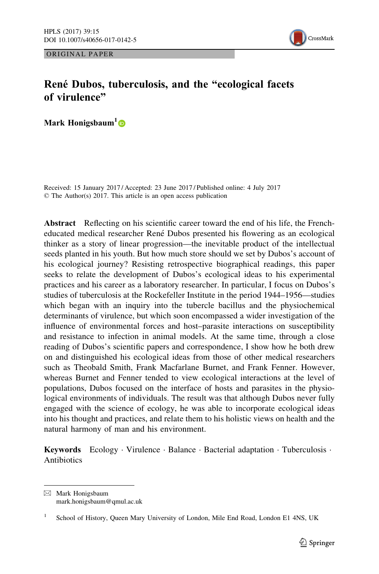ORIGINAL PAPER



### René Dubos, tuberculosis, and the "ecological facets of virulence"

Mark Honigsbaum<sup>1</sup>

Received: 15 January 2017 / Accepted: 23 June 2017 / Published online: 4 July 2017 © The Author(s) 2017. This article is an open access publication

Abstract Reflecting on his scientific career toward the end of his life, the Frencheducated medical researcher René Dubos presented his flowering as an ecological thinker as a story of linear progression—the inevitable product of the intellectual seeds planted in his youth. But how much store should we set by Dubos's account of his ecological journey? Resisting retrospective biographical readings, this paper seeks to relate the development of Dubos's ecological ideas to his experimental practices and his career as a laboratory researcher. In particular, I focus on Dubos's studies of tuberculosis at the Rockefeller Institute in the period 1944–1956—studies which began with an inquiry into the tubercle bacillus and the physiochemical determinants of virulence, but which soon encompassed a wider investigation of the influence of environmental forces and host–parasite interactions on susceptibility and resistance to infection in animal models. At the same time, through a close reading of Dubos's scientific papers and correspondence, I show how he both drew on and distinguished his ecological ideas from those of other medical researchers such as Theobald Smith, Frank Macfarlane Burnet, and Frank Fenner. However, whereas Burnet and Fenner tended to view ecological interactions at the level of populations, Dubos focused on the interface of hosts and parasites in the physiological environments of individuals. The result was that although Dubos never fully engaged with the science of ecology, he was able to incorporate ecological ideas into his thought and practices, and relate them to his holistic views on health and the natural harmony of man and his environment.

Keywords Ecology · Virulence · Balance · Bacterial adaptation · Tuberculosis · Antibiotics

& Mark Honigsbaum mark.honigsbaum@qmul.ac.uk

<sup>&</sup>lt;sup>1</sup> School of History, Queen Mary University of London, Mile End Road, London E1 4NS, UK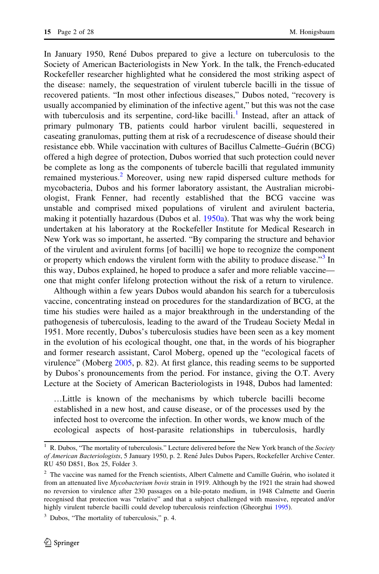In January 1950, René Dubos prepared to give a lecture on tuberculosis to the Society of American Bacteriologists in New York. In the talk, the French-educated Rockefeller researcher highlighted what he considered the most striking aspect of the disease: namely, the sequestration of virulent tubercle bacilli in the tissue of recovered patients. "In most other infectious diseases," Dubos noted, "recovery is usually accompanied by elimination of the infective agent," but this was not the case with tuberculosis and its serpentine, cord-like bacilli.<sup>1</sup> Instead, after an attack of primary pulmonary TB, patients could harbor virulent bacilli, sequestered in caseating granulomas, putting them at risk of a recrudescence of disease should their resistance ebb. While vaccination with cultures of Bacillus Calmette–Guérin (BCG) offered a high degree of protection, Dubos worried that such protection could never be complete as long as the components of tubercle bacilli that regulated immunity remained mysterious.<sup>2</sup> Moreover, using new rapid dispersed culture methods for mycobacteria, Dubos and his former laboratory assistant, the Australian microbiologist, Frank Fenner, had recently established that the BCG vaccine was unstable and comprised mixed populations of virulent and avirulent bacteria, making it potentially hazardous (Dubos et al. [1950a](#page-27-0)). That was why the work being undertaken at his laboratory at the Rockefeller Institute for Medical Research in New York was so important, he asserted. "By comparing the structure and behavior of the virulent and avirulent forms [of bacilli] we hope to recognize the component or property which endows the virulent form with the ability to produce disease."<sup>3</sup> In this way, Dubos explained, he hoped to produce a safer and more reliable vaccine one that might confer lifelong protection without the risk of a return to virulence.

Although within a few years Dubos would abandon his search for a tuberculosis vaccine, concentrating instead on procedures for the standardization of BCG, at the time his studies were hailed as a major breakthrough in the understanding of the pathogenesis of tuberculosis, leading to the award of the Trudeau Society Medal in 1951. More recently, Dubos's tuberculosis studies have been seen as a key moment in the evolution of his ecological thought, one that, in the words of his biographer and former research assistant, Carol Moberg, opened up the "ecological facets of virulence" (Moberg [2005](#page-27-0), p. 82). At first glance, this reading seems to be supported by Dubos's pronouncements from the period. For instance, giving the O.T. Avery Lecture at the Society of American Bacteriologists in 1948, Dubos had lamented:

…Little is known of the mechanisms by which tubercle bacilli become established in a new host, and cause disease, or of the processes used by the infected host to overcome the infection. In other words, we know much of the ecological aspects of host-parasite relationships in tuberculosis, hardly

 $1$  R. Dubos, "The mortality of tuberculosis." Lecture delivered before the New York branch of the *Society* of American Bacteriologists, 5 January 1950, p. 2. René Jules Dubos Papers, Rockefeller Archive Center. RU 450 D851, Box 25, Folder 3.

 $2$  The vaccine was named for the French scientists, Albert Calmette and Camille Guérin, who isolated it from an attenuated live Mycobacterium bovis strain in 1919. Although by the 1921 the strain had showed no reversion to virulence after 230 passages on a bile-potato medium, in 1948 Calmette and Guerin recognised that protection was "relative" and that a subject challenged with massive, repeated and/or highly virulent tubercle bacilli could develop tuberculosis reinfection (Gheorghui [1995\)](#page-27-0).

 $3$  Dubos, "The mortality of tuberculosis," p. 4.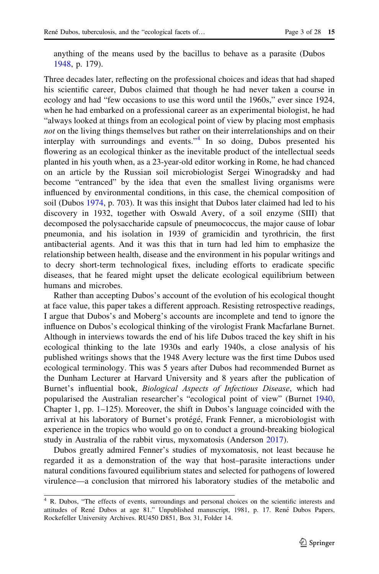anything of the means used by the bacillus to behave as a parasite (Dubos [1948](#page-26-0), p. 179).

Three decades later, reflecting on the professional choices and ideas that had shaped his scientific career, Dubos claimed that though he had never taken a course in ecology and had "few occasions to use this word until the 1960s," ever since 1924, when he had embarked on a professional career as an experimental biologist, he had "always looked at things from an ecological point of view by placing most emphasis not on the living things themselves but rather on their interrelationships and on their interplay with surroundings and events."<sup>4</sup> In so doing, Dubos presented his flowering as an ecological thinker as the inevitable product of the intellectual seeds planted in his youth when, as a 23-year-old editor working in Rome, he had chanced on an article by the Russian soil microbiologist Sergei Winogradsky and had become "entranced" by the idea that even the smallest living organisms were influenced by environmental conditions, in this case, the chemical composition of soil (Dubos [1974](#page-26-0), p. 703). It was this insight that Dubos later claimed had led to his discovery in 1932, together with Oswald Avery, of a soil enzyme (SIII) that decomposed the polysaccharide capsule of pneumococcus, the major cause of lobar pneumonia, and his isolation in 1939 of gramicidin and tyrothricin, the first antibacterial agents. And it was this that in turn had led him to emphasize the relationship between health, disease and the environment in his popular writings and to decry short-term technological fixes, including efforts to eradicate specific diseases, that he feared might upset the delicate ecological equilibrium between humans and microbes.

Rather than accepting Dubos's account of the evolution of his ecological thought at face value, this paper takes a different approach. Resisting retrospective readings, I argue that Dubos's and Moberg's accounts are incomplete and tend to ignore the influence on Dubos's ecological thinking of the virologist Frank Macfarlane Burnet. Although in interviews towards the end of his life Dubos traced the key shift in his ecological thinking to the late 1930s and early 1940s, a close analysis of his published writings shows that the 1948 Avery lecture was the first time Dubos used ecological terminology. This was 5 years after Dubos had recommended Burnet as the Dunham Lecturer at Harvard University and 8 years after the publication of Burnet's influential book, Biological Aspects of Infectious Disease, which had popularised the Australian researcher's "ecological point of view" (Burnet [1940,](#page-26-0) Chapter 1, pp. 1–125). Moreover, the shift in Dubos's language coincided with the arrival at his laboratory of Burnet's protégé, Frank Fenner, a microbiologist with experience in the tropics who would go on to conduct a ground-breaking biological study in Australia of the rabbit virus, myxomatosis (Anderson [2017\)](#page-26-0).

Dubos greatly admired Fenner's studies of myxomatosis, not least because he regarded it as a demonstration of the way that host–parasite interactions under natural conditions favoured equilibrium states and selected for pathogens of lowered virulence—a conclusion that mirrored his laboratory studies of the metabolic and

<sup>4</sup> R. Dubos, "The effects of events, surroundings and personal choices on the scientific interests and attitudes of René Dubos at age 81." Unpublished manuscript, 1981, p. 17. René Dubos Papers, Rockefeller University Archives. RU450 D851, Box 31, Folder 14.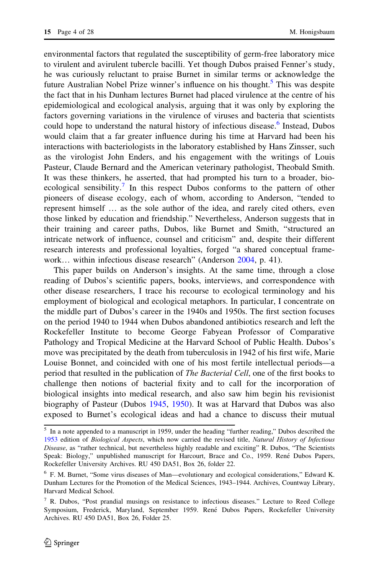environmental factors that regulated the susceptibility of germ-free laboratory mice to virulent and avirulent tubercle bacilli. Yet though Dubos praised Fenner's study, he was curiously reluctant to praise Burnet in similar terms or acknowledge the future Australian Nobel Prize winner's influence on his thought.<sup>5</sup> This was despite the fact that in his Dunham lectures Burnet had placed virulence at the centre of his epidemiological and ecological analysis, arguing that it was only by exploring the factors governing variations in the virulence of viruses and bacteria that scientists could hope to understand the natural history of infectious disease.<sup>6</sup> Instead, Dubos would claim that a far greater influence during his time at Harvard had been his interactions with bacteriologists in the laboratory established by Hans Zinsser, such as the virologist John Enders, and his engagement with the writings of Louis Pasteur, Claude Bernard and the American veterinary pathologist, Theobald Smith. It was these thinkers, he asserted, that had prompted his turn to a broader, bioecological sensibility.<sup>7</sup> In this respect Dubos conforms to the pattern of other pioneers of disease ecology, each of whom, according to Anderson, "tended to represent himself … as the sole author of the idea, and rarely cited others, even those linked by education and friendship." Nevertheless, Anderson suggests that in their training and career paths, Dubos, like Burnet and Smith, "structured an intricate network of influence, counsel and criticism" and, despite their different research interests and professional loyalties, forged "a shared conceptual framework… within infectious disease research" (Anderson [2004](#page-26-0), p. 41).

This paper builds on Anderson's insights. At the same time, through a close reading of Dubos's scientific papers, books, interviews, and correspondence with other disease researchers, I trace his recourse to ecological terminology and his employment of biological and ecological metaphors. In particular, I concentrate on the middle part of Dubos's career in the 1940s and 1950s. The first section focuses on the period 1940 to 1944 when Dubos abandoned antibiotics research and left the Rockefeller Institute to become George Fabyean Professor of Comparative Pathology and Tropical Medicine at the Harvard School of Public Health. Dubos's move was precipitated by the death from tuberculosis in 1942 of his first wife, Marie Louise Bonnet, and coincided with one of his most fertile intellectual periods—a period that resulted in the publication of *The Bacterial Cell*, one of the first books to challenge then notions of bacterial fixity and to call for the incorporation of biological insights into medical research, and also saw him begin his revisionist biography of Pasteur (Dubos [1945](#page-26-0), [1950](#page-26-0)). It was at Harvard that Dubos was also exposed to Burnet's ecological ideas and had a chance to discuss their mutual

<sup>5</sup> In a note appended to a manuscript in 1959, under the heading "further reading," Dubos described the [1953](#page-26-0) edition of Biological Aspects, which now carried the revised title, Natural History of Infectious Disease, as "rather technical, but nevertheless highly readable and exciting" R. Dubos, "The Scientists Speak: Biology," unpublished manuscript for Harcourt, Brace and Co., 1959. René Dubos Papers, Rockefeller University Archives. RU 450 DA51, Box 26, folder 22.

<sup>6</sup> F. M. Burnet, "Some virus diseases of Man—evolutionary and ecological considerations," Edward K. Dunham Lectures for the Promotion of the Medical Sciences, 1943–1944. Archives, Countway Library, Harvard Medical School.

<sup>7</sup> R. Dubos, "Post prandial musings on resistance to infectious diseases." Lecture to Reed College Symposium, Frederick, Maryland, September 1959. René Dubos Papers, Rockefeller University Archives. RU 450 DA51, Box 26, Folder 25.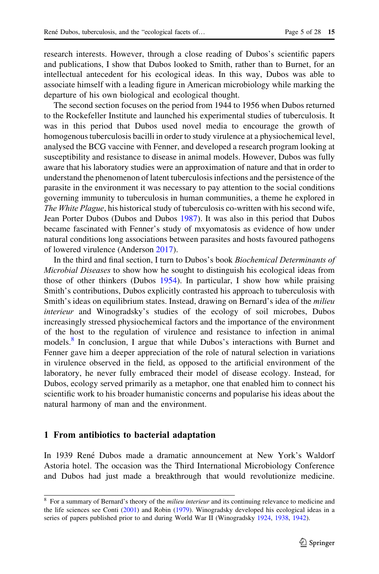research interests. However, through a close reading of Dubos's scientific papers and publications, I show that Dubos looked to Smith, rather than to Burnet, for an intellectual antecedent for his ecological ideas. In this way, Dubos was able to associate himself with a leading figure in American microbiology while marking the departure of his own biological and ecological thought.

The second section focuses on the period from 1944 to 1956 when Dubos returned to the Rockefeller Institute and launched his experimental studies of tuberculosis. It was in this period that Dubos used novel media to encourage the growth of homogenous tuberculosis bacilli in order to study virulence at a physiochemical level, analysed the BCG vaccine with Fenner, and developed a research program looking at susceptibility and resistance to disease in animal models. However, Dubos was fully aware that his laboratory studies were an approximation of nature and that in order to understand the phenomenon of latent tuberculosis infections and the persistence of the parasite in the environment it was necessary to pay attention to the social conditions governing immunity to tuberculosis in human communities, a theme he explored in The White Plague, his historical study of tuberculosis co-written with his second wife, Jean Porter Dubos (Dubos and Dubos [1987](#page-26-0)). It was also in this period that Dubos became fascinated with Fenner's study of mxyomatosis as evidence of how under natural conditions long associations between parasites and hosts favoured pathogens of lowered virulence (Anderson [2017\)](#page-26-0).

In the third and final section, I turn to Dubos's book Biochemical Determinants of Microbial Diseases to show how he sought to distinguish his ecological ideas from those of other thinkers (Dubos [1954](#page-26-0)). In particular, I show how while praising Smith's contributions, Dubos explicitly contrasted his approach to tuberculosis with Smith's ideas on equilibrium states. Instead, drawing on Bernard's idea of the *milieu* interieur and Winogradsky's studies of the ecology of soil microbes, Dubos increasingly stressed physiochemical factors and the importance of the environment of the host to the regulation of virulence and resistance to infection in animal models.<sup>8</sup> In conclusion, I argue that while Dubos's interactions with Burnet and Fenner gave him a deeper appreciation of the role of natural selection in variations in virulence observed in the field, as opposed to the artificial environment of the laboratory, he never fully embraced their model of disease ecology. Instead, for Dubos, ecology served primarily as a metaphor, one that enabled him to connect his scientific work to his broader humanistic concerns and popularise his ideas about the natural harmony of man and the environment.

#### 1 From antibiotics to bacterial adaptation

In 1939 René Dubos made a dramatic announcement at New York's Waldorf Astoria hotel. The occasion was the Third International Microbiology Conference and Dubos had just made a breakthrough that would revolutionize medicine.

<sup>&</sup>lt;sup>8</sup> For a summary of Bernard's theory of the *milieu interieur* and its continuing relevance to medicine and the life sciences see Conti ([2001\)](#page-26-0) and Robin ([1979\)](#page-28-0). Winogradsky developed his ecological ideas in a series of papers published prior to and during World War II (Winogradsky [1924](#page-28-0), [1938,](#page-28-0) [1942](#page-28-0)).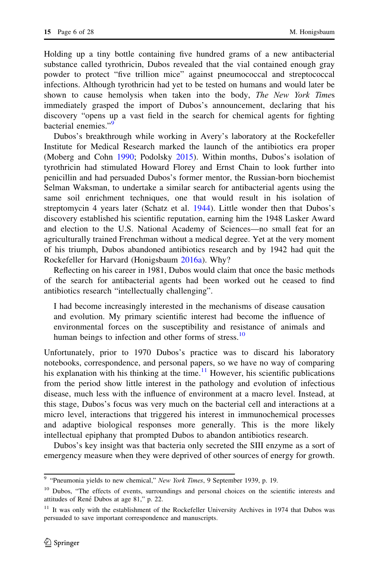Holding up a tiny bottle containing five hundred grams of a new antibacterial substance called tyrothricin, Dubos revealed that the vial contained enough gray powder to protect "five trillion mice" against pneumococcal and streptococcal infections. Although tyrothricin had yet to be tested on humans and would later be shown to cause hemolysis when taken into the body, The New York Times immediately grasped the import of Dubos's announcement, declaring that his discovery "opens up a vast field in the search for chemical agents for fighting bacterial enemies."<sup>9</sup>

Dubos's breakthrough while working in Avery's laboratory at the Rockefeller Institute for Medical Research marked the launch of the antibiotics era proper (Moberg and Cohn [1990](#page-27-0); Podolsky [2015](#page-28-0)). Within months, Dubos's isolation of tyrothricin had stimulated Howard Florey and Ernst Chain to look further into penicillin and had persuaded Dubos's former mentor, the Russian-born biochemist Selman Waksman, to undertake a similar search for antibacterial agents using the same soil enrichment techniques, one that would result in his isolation of streptomycin 4 years later (Schatz et al. [1944](#page-28-0)). Little wonder then that Dubos's discovery established his scientific reputation, earning him the 1948 Lasker Award and election to the U.S. National Academy of Sciences—no small feat for an agriculturally trained Frenchman without a medical degree. Yet at the very moment of his triumph, Dubos abandoned antibiotics research and by 1942 had quit the Rockefeller for Harvard (Honigsbaum [2016a](#page-27-0)). Why?

Reflecting on his career in 1981, Dubos would claim that once the basic methods of the search for antibacterial agents had been worked out he ceased to find antibiotics research "intellectually challenging".

I had become increasingly interested in the mechanisms of disease causation and evolution. My primary scientific interest had become the influence of environmental forces on the susceptibility and resistance of animals and human beings to infection and other forms of stress.<sup>10</sup>

Unfortunately, prior to 1970 Dubos's practice was to discard his laboratory notebooks, correspondence, and personal papers, so we have no way of comparing his explanation with his thinking at the time.<sup>11</sup> However, his scientific publications from the period show little interest in the pathology and evolution of infectious disease, much less with the influence of environment at a macro level. Instead, at this stage, Dubos's focus was very much on the bacterial cell and interactions at a micro level, interactions that triggered his interest in immunochemical processes and adaptive biological responses more generally. This is the more likely intellectual epiphany that prompted Dubos to abandon antibiotics research.

Dubos's key insight was that bacteria only secreted the SIII enzyme as a sort of emergency measure when they were deprived of other sources of energy for growth.

 $9$  "Pneumonia yields to new chemical," New York Times, 9 September 1939, p. 19.

<sup>&</sup>lt;sup>10</sup> Dubos, "The effects of events, surroundings and personal choices on the scientific interests and attitudes of René Dubos at age 81," p. 22.

<sup>&</sup>lt;sup>11</sup> It was only with the establishment of the Rockefeller University Archives in 1974 that Dubos was persuaded to save important correspondence and manuscripts.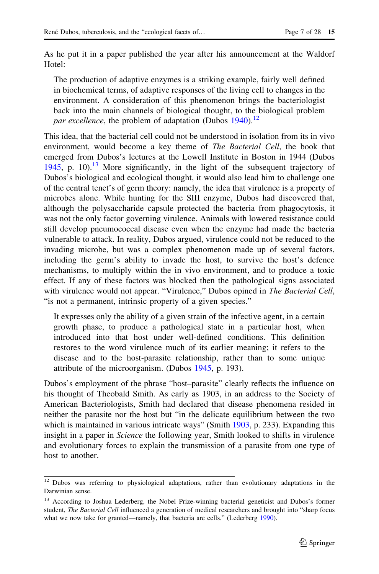As he put it in a paper published the year after his announcement at the Waldorf Hotel:

The production of adaptive enzymes is a striking example, fairly well defined in biochemical terms, of adaptive responses of the living cell to changes in the environment. A consideration of this phenomenon brings the bacteriologist back into the main channels of biological thought, to the biological problem par excellence, the problem of adaptation (Dubos [1940\)](#page-26-0).<sup>12</sup>

This idea, that the bacterial cell could not be understood in isolation from its in vivo environment, would become a key theme of *The Bacterial Cell*, the book that emerged from Dubos's lectures at the Lowell Institute in Boston in 1944 (Dubos [1945,](#page-26-0) p. 10).<sup>13</sup> More significantly, in the light of the subsequent trajectory of Dubos's biological and ecological thought, it would also lead him to challenge one of the central tenet's of germ theory: namely, the idea that virulence is a property of microbes alone. While hunting for the SIII enzyme, Dubos had discovered that, although the polysaccharide capsule protected the bacteria from phagocytosis, it was not the only factor governing virulence. Animals with lowered resistance could still develop pneumococcal disease even when the enzyme had made the bacteria vulnerable to attack. In reality, Dubos argued, virulence could not be reduced to the invading microbe, but was a complex phenomenon made up of several factors, including the germ's ability to invade the host, to survive the host's defence mechanisms, to multiply within the in vivo environment, and to produce a toxic effect. If any of these factors was blocked then the pathological signs associated with virulence would not appear. "Virulence," Dubos opined in The Bacterial Cell, "is not a permanent, intrinsic property of a given species."

It expresses only the ability of a given strain of the infective agent, in a certain growth phase, to produce a pathological state in a particular host, when introduced into that host under well-defined conditions. This definition restores to the word virulence much of its earlier meaning; it refers to the disease and to the host-parasite relationship, rather than to some unique attribute of the microorganism. (Dubos [1945](#page-26-0), p. 193).

Dubos's employment of the phrase "host–parasite" clearly reflects the influence on his thought of Theobald Smith. As early as 1903, in an address to the Society of American Bacteriologists, Smith had declared that disease phenomena resided in neither the parasite nor the host but "in the delicate equilibrium between the two which is maintained in various intricate ways" (Smith [1903,](#page-28-0) p. 233). Expanding this insight in a paper in *Science* the following year, Smith looked to shifts in virulence and evolutionary forces to explain the transmission of a parasite from one type of host to another.

<sup>&</sup>lt;sup>12</sup> Dubos was referring to physiological adaptations, rather than evolutionary adaptations in the Darwinian sense.

<sup>&</sup>lt;sup>13</sup> According to Joshua Lederberg, the Nobel Prize-winning bacterial geneticist and Dubos's former student, The Bacterial Cell influenced a generation of medical researchers and brought into "sharp focus what we now take for granted—namely, that bacteria are cells." (Lederberg [1990](#page-27-0)).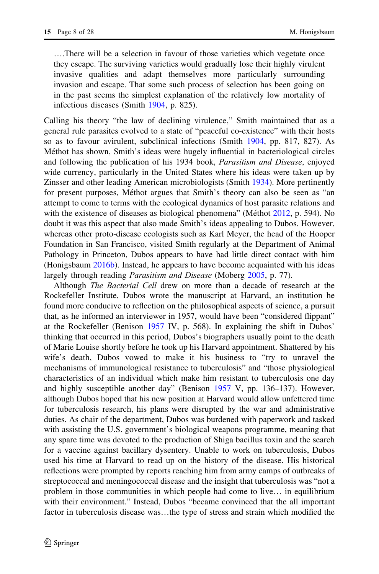….There will be a selection in favour of those varieties which vegetate once they escape. The surviving varieties would gradually lose their highly virulent invasive qualities and adapt themselves more particularly surrounding invasion and escape. That some such process of selection has been going on in the past seems the simplest explanation of the relatively low mortality of infectious diseases (Smith [1904,](#page-28-0) p. 825).

Calling his theory "the law of declining virulence," Smith maintained that as a general rule parasites evolved to a state of "peaceful co-existence" with their hosts so as to favour avirulent, subclinical infections (Smith [1904](#page-28-0), pp. 817, 827). As Méthot has shown, Smith's ideas were hugely influential in bacteriological circles and following the publication of his 1934 book, Parasitism and Disease, enjoyed wide currency, particularly in the United States where his ideas were taken up by Zinsser and other leading American microbiologists (Smith [1934](#page-28-0)). More pertinently for present purposes, Méthot argues that Smith's theory can also be seen as "an attempt to come to terms with the ecological dynamics of host parasite relations and with the existence of diseases as biological phenomena" (Méthot [2012,](#page-27-0) p. 594). No doubt it was this aspect that also made Smith's ideas appealing to Dubos. However, whereas other proto-disease ecologists such as Karl Meyer, the head of the Hooper Foundation in San Francisco, visited Smith regularly at the Department of Animal Pathology in Princeton, Dubos appears to have had little direct contact with him (Honigsbaum [2016b](#page-27-0)). Instead, he appears to have become acquainted with his ideas largely through reading *Parasitism and Disease* (Moberg [2005](#page-27-0), p. 77).

Although The Bacterial Cell drew on more than a decade of research at the Rockefeller Institute, Dubos wrote the manuscript at Harvard, an institution he found more conducive to reflection on the philosophical aspects of science, a pursuit that, as he informed an interviewer in 1957, would have been "considered flippant" at the Rockefeller (Benison [1957](#page-26-0) IV, p. 568). In explaining the shift in Dubos' thinking that occurred in this period, Dubos's biographers usually point to the death of Marie Louise shortly before he took up his Harvard appointment. Shattered by his wife's death, Dubos vowed to make it his business to "try to unravel the mechanisms of immunological resistance to tuberculosis" and "those physiological characteristics of an individual which make him resistant to tuberculosis one day and highly susceptible another day" (Benison [1957](#page-26-0) V, pp. 136–137). However, although Dubos hoped that his new position at Harvard would allow unfettered time for tuberculosis research, his plans were disrupted by the war and administrative duties. As chair of the department, Dubos was burdened with paperwork and tasked with assisting the U.S. government's biological weapons programme, meaning that any spare time was devoted to the production of Shiga bacillus toxin and the search for a vaccine against bacillary dysentery. Unable to work on tuberculosis, Dubos used his time at Harvard to read up on the history of the disease. His historical reflections were prompted by reports reaching him from army camps of outbreaks of streptococcal and meningococcal disease and the insight that tuberculosis was "not a problem in those communities in which people had come to live… in equilibrium with their environment." Instead, Dubos "became convinced that the all important factor in tuberculosis disease was…the type of stress and strain which modified the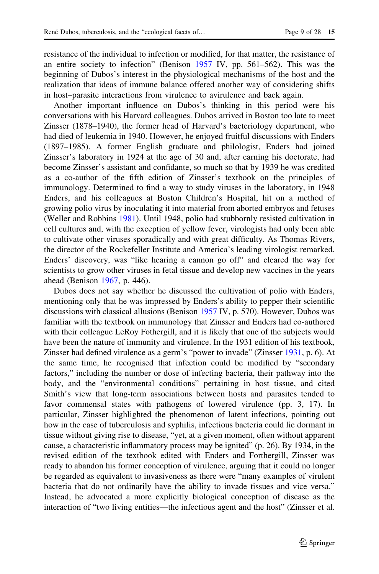resistance of the individual to infection or modified, for that matter, the resistance of an entire society to infection" (Benison [1957](#page-26-0) IV, pp. 561–562). This was the beginning of Dubos's interest in the physiological mechanisms of the host and the realization that ideas of immune balance offered another way of considering shifts in host–parasite interactions from virulence to avirulence and back again.

Another important influence on Dubos's thinking in this period were his conversations with his Harvard colleagues. Dubos arrived in Boston too late to meet Zinsser (1878–1940), the former head of Harvard's bacteriology department, who had died of leukemia in 1940. However, he enjoyed fruitful discussions with Enders (1897–1985). A former English graduate and philologist, Enders had joined Zinsser's laboratory in 1924 at the age of 30 and, after earning his doctorate, had become Zinsser's assistant and confidante, so much so that by 1939 he was credited as a co-author of the fifth edition of Zinsser's textbook on the principles of immunology. Determined to find a way to study viruses in the laboratory, in 1948 Enders, and his colleagues at Boston Children's Hospital, hit on a method of growing polio virus by inoculating it into material from aborted embryos and fetuses (Weller and Robbins [1981\)](#page-28-0). Until 1948, polio had stubbornly resisted cultivation in cell cultures and, with the exception of yellow fever, virologists had only been able to cultivate other viruses sporadically and with great difficulty. As Thomas Rivers, the director of the Rockefeller Institute and America's leading virologist remarked, Enders' discovery, was "like hearing a cannon go off" and cleared the way for scientists to grow other viruses in fetal tissue and develop new vaccines in the years ahead (Benison [1967](#page-26-0), p. 446).

Dubos does not say whether he discussed the cultivation of polio with Enders, mentioning only that he was impressed by Enders's ability to pepper their scientific discussions with classical allusions (Benison [1957](#page-26-0) IV, p. 570). However, Dubos was familiar with the textbook on immunology that Zinsser and Enders had co-authored with their colleague LeRoy Fothergill, and it is likely that one of the subjects would have been the nature of immunity and virulence. In the 1931 edition of his textbook, Zinsser had defined virulence as a germ's "power to invade" (Zinsser [1931](#page-28-0), p. 6). At the same time, he recognised that infection could be modified by "secondary factors," including the number or dose of infecting bacteria, their pathway into the body, and the "environmental conditions" pertaining in host tissue, and cited Smith's view that long-term associations between hosts and parasites tended to favor commensal states with pathogens of lowered virulence (pp. 3, 17). In particular, Zinsser highlighted the phenomenon of latent infections, pointing out how in the case of tuberculosis and syphilis, infectious bacteria could lie dormant in tissue without giving rise to disease, "yet, at a given moment, often without apparent cause, a characteristic inflammatory process may be ignited" (p. 26). By 1934, in the revised edition of the textbook edited with Enders and Forthergill, Zinsser was ready to abandon his former conception of virulence, arguing that it could no longer be regarded as equivalent to invasiveness as there were "many examples of virulent bacteria that do not ordinarily have the ability to invade tissues and vice versa." Instead, he advocated a more explicitly biological conception of disease as the interaction of "two living entities—the infectious agent and the host" (Zinsser et al.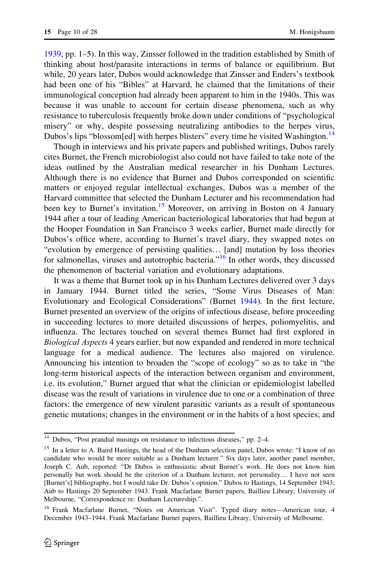[1939,](#page-28-0) pp. 1–5). In this way, Zinsser followed in the tradition established by Smith of thinking about host/parasite interactions in terms of balance or equilibrium. But while, 20 years later, Dubos would acknowledge that Zinsser and Enders's textbook had been one of his "Bibles" at Harvard, he claimed that the limitations of their immunological conception had already been apparent to him in the 1940s. This was because it was unable to account for certain disease phenomena, such as why resistance to tuberculosis frequently broke down under conditions of "psychological misery" or why, despite possessing neutralizing antibodies to the herpes virus, Dubos's lips "blossom[ed] with herpes blisters" every time he visited Washington.<sup>14</sup>

Though in interviews and his private papers and published writings, Dubos rarely cites Burnet, the French microbiologist also could not have failed to take note of the ideas outlined by the Australian medical researcher in his Dunham Lectures. Although there is no evidence that Burnet and Dubos corresponded on scientific matters or enjoyed regular intellectual exchanges, Dubos was a member of the Harvard committee that selected the Dunham Lecturer and his recommendation had been key to Burnet's invitation.<sup>15</sup> Moreover, on arriving in Boston on 4 January 1944 after a tour of leading American bacteriological laboratories that had begun at the Hooper Foundation in San Francisco 3 weeks earlier, Burnet made directly for Dubos's office where, according to Burnet's travel diary, they swapped notes on "evolution by emergence of persisting qualities… [and] mutation by loss theories for salmonellas, viruses and autotrophic bacteria."<sup>16</sup> In other words, they discussed the phenomenon of bacterial variation and evolutionary adaptations.

It was a theme that Burnet took up in his Dunham Lectures delivered over 3 days in January 1944. Burnet titled the series, "Some Virus Diseases of Man: Evolutionary and Ecological Considerations" (Burnet [1944](#page-26-0)). In the first lecture, Burnet presented an overview of the origins of infectious disease, before proceeding in succeeding lectures to more detailed discussions of herpes, poliomyelitis, and influenza. The lectures touched on several themes Burnet had first explored in Biological Aspects 4 years earlier, but now expanded and rendered in more technical language for a medical audience. The lectures also majored on virulence. Announcing his intention to broaden the "scope of ecology" so as to take in "the long-term historical aspects of the interaction between organism and environment, i.e. its evolution," Burnet argued that what the clinician or epidemiologist labelled disease was the result of variations in virulence due to one or a combination of three factors: the emergence of new virulent parasitic variants as a result of spontaneous genetic mutations; changes in the environment or in the habits of a host species; and

<sup>14</sup> Dubos, "Post prandial musings on resistance to infectious diseases," pp. 2–4.

<sup>&</sup>lt;sup>15</sup> In a letter to A. Baird Hastings, the head of the Dunham selection panel, Dubos wrote: "I know of no candidate who would be more suitable as a Dunham lecturer." Six days later, another panel member, Joseph C. Aub, reported: "Dr Dubos is enthusiastic about Burnet's work. He does not know him personally but work should be the criterion of a Dunham lecturer, not personality… I have not seen [Burnet's] bibliography, but I would take Dr. Dubos's opinion." Dubos to Hastings, 14 September 1943; Aub to Hastings 20 September 1943. Frank Macfarlane Burnet papers, Baillieu Library, University of Melbourne, "Correspondence re: Dunham Lectureship.".

<sup>&</sup>lt;sup>16</sup> Frank Macfarlane Burnet, "Notes on American Visit". Typed diary notes—American tour, 4 December 1943–1944. Frank Macfarlane Burnet papers, Baillieu Library, University of Melbourne.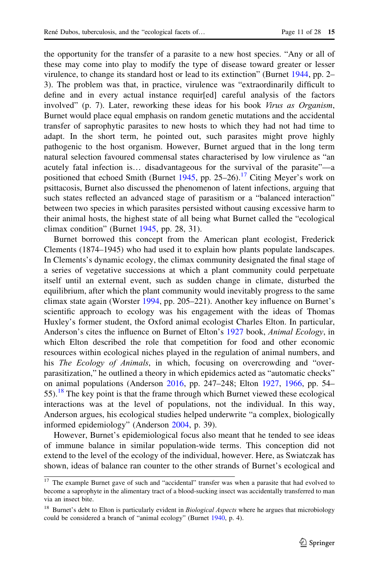the opportunity for the transfer of a parasite to a new host species. "Any or all of these may come into play to modify the type of disease toward greater or lesser virulence, to change its standard host or lead to its extinction" (Burnet [1944,](#page-26-0) pp. 2– 3). The problem was that, in practice, virulence was "extraordinarily difficult to define and in every actual instance requir[ed] careful analysis of the factors involved" (p. 7). Later, reworking these ideas for his book Virus as Organism, Burnet would place equal emphasis on random genetic mutations and the accidental transfer of saprophytic parasites to new hosts to which they had not had time to adapt. In the short term, he pointed out, such parasites might prove highly pathogenic to the host organism. However, Burnet argued that in the long term natural selection favoured commensal states characterised by low virulence as "an acutely fatal infection is… disadvantageous for the survival of the parasite"—a positioned that echoed Smith (Burnet  $1945$ , pp. 25–26).<sup>17</sup> Citing Meyer's work on psittacosis, Burnet also discussed the phenomenon of latent infections, arguing that such states reflected an advanced stage of parasitism or a "balanced interaction" between two species in which parasites persisted without causing excessive harm to their animal hosts, the highest state of all being what Burnet called the "ecological climax condition" (Burnet [1945](#page-26-0), pp. 28, 31).

Burnet borrowed this concept from the American plant ecologist, Frederick Clements (1874–1945) who had used it to explain how plants populate landscapes. In Clements's dynamic ecology, the climax community designated the final stage of a series of vegetative successions at which a plant community could perpetuate itself until an external event, such as sudden change in climate, disturbed the equilibrium, after which the plant community would inevitably progress to the same climax state again (Worster [1994](#page-28-0), pp. 205–221). Another key influence on Burnet's scientific approach to ecology was his engagement with the ideas of Thomas Huxley's former student, the Oxford animal ecologist Charles Elton. In particular, Anderson's cites the influence on Burnet of Elton's [1927](#page-27-0) book, Animal Ecology, in which Elton described the role that competition for food and other economic resources within ecological niches played in the regulation of animal numbers, and his *The Ecology of Animals*, in which, focusing on overcrowding and "overparasitization," he outlined a theory in which epidemics acted as "automatic checks" on animal populations (Anderson [2016](#page-26-0), pp. 247–248; Elton [1927,](#page-27-0) [1966](#page-27-0), pp. 54–  $55)$ .<sup>18</sup> The key point is that the frame through which Burnet viewed these ecological interactions was at the level of populations, not the individual. In this way, Anderson argues, his ecological studies helped underwrite "a complex, biologically informed epidemiology" (Anderson [2004](#page-26-0), p. 39).

However, Burnet's epidemiological focus also meant that he tended to see ideas of immune balance in similar population-wide terms. This conception did not extend to the level of the ecology of the individual, however. Here, as Swiatczak has shown, ideas of balance ran counter to the other strands of Burnet's ecological and

<sup>&</sup>lt;sup>17</sup> The example Burnet gave of such and "accidental" transfer was when a parasite that had evolved to become a saprophyte in the alimentary tract of a blood-sucking insect was accidentally transferred to man via an insect bite.

<sup>&</sup>lt;sup>18</sup> Burnet's debt to Elton is particularly evident in *Biological Aspects* where he argues that microbiology could be considered a branch of "animal ecology" (Burnet [1940,](#page-26-0) p. 4).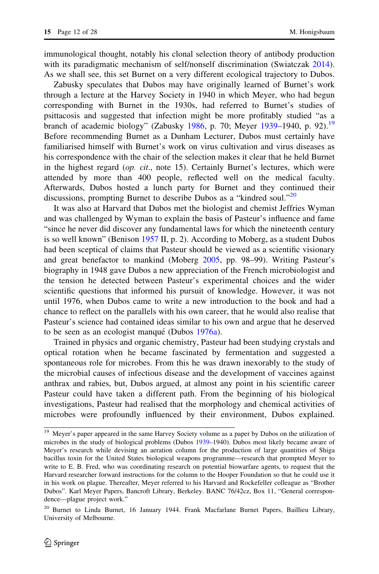immunological thought, notably his clonal selection theory of antibody production with its paradigmatic mechanism of self/nonself discrimination (Swiatczak [2014\)](#page-28-0). As we shall see, this set Burnet on a very different ecological trajectory to Dubos.

Zabusky speculates that Dubos may have originally learned of Burnet's work through a lecture at the Harvey Society in 1940 in which Meyer, who had begun corresponding with Burnet in the 1930s, had referred to Burnet's studies of psittacosis and suggested that infection might be more profitably studied "as a branch of academic biology" (Zabusky [1986](#page-28-0), p. 70; Meyer [1939](#page-27-0)–1940, p. 92).<sup>19</sup> Before recommending Burnet as a Dunham Lecturer, Dubos must certainly have familiarised himself with Burnet's work on virus cultivation and virus diseases as his correspondence with the chair of the selection makes it clear that he held Burnet in the highest regard (*op. cit.*, note 15). Certainly Burnet's lectures, which were attended by more than 400 people, reflected well on the medical faculty. Afterwards, Dubos hosted a lunch party for Burnet and they continued their discussions, prompting Burnet to describe Dubos as a "kindred soul."<sup>20</sup>

It was also at Harvard that Dubos met the biologist and chemist Jeffries Wyman and was challenged by Wyman to explain the basis of Pasteur's influence and fame "since he never did discover any fundamental laws for which the nineteenth century is so well known" (Benison [1957](#page-26-0) II, p. 2). According to Moberg, as a student Dubos had been sceptical of claims that Pasteur should be viewed as a scientific visionary and great benefactor to mankind (Moberg [2005](#page-27-0), pp. 98–99). Writing Pasteur's biography in 1948 gave Dubos a new appreciation of the French microbiologist and the tension he detected between Pasteur's experimental choices and the wider scientific questions that informed his pursuit of knowledge. However, it was not until 1976, when Dubos came to write a new introduction to the book and had a chance to reflect on the parallels with his own career, that he would also realise that Pasteur's science had contained ideas similar to his own and argue that he deserved to be seen as an ecologist manqué (Dubos [1976a](#page-26-0)).

Trained in physics and organic chemistry, Pasteur had been studying crystals and optical rotation when he became fascinated by fermentation and suggested a spontaneous role for microbes. From this he was drawn inexorably to the study of the microbial causes of infectious disease and the development of vaccines against anthrax and rabies, but, Dubos argued, at almost any point in his scientific career Pasteur could have taken a different path. From the beginning of his biological investigations, Pasteur had realised that the morphology and chemical activities of microbes were profoundly influenced by their environment, Dubos explained.

<sup>&</sup>lt;sup>19</sup> Meyer's paper appeared in the same Harvey Society volume as a paper by Dubos on the utilization of microbes in the study of biological problems (Dubos [1939–](#page-26-0)1940). Dubos most likely became aware of Meyer's research while devising an aeration column for the production of large quantities of Shiga bacillus toxin for the United States biological weapons programme—research that prompted Meyer to write to E. B. Fred, who was coordinating research on potential biowarfare agents, to request that the Harvard researcher forward instructions for the column to the Hooper Foundation so that he could use it in his work on plague. Thereafter, Meyer referred to his Harvard and Rockefeller colleague as "Brother Dubos". Karl Meyer Papers, Bancroft Library, Berkeley. BANC 76/42cz, Box 11, "General correspondence—plague project work."

<sup>20</sup> Burnet to Linda Burnet, 16 January 1944. Frank Macfarlane Burnet Papers, Baillieu Library, University of Melbourne.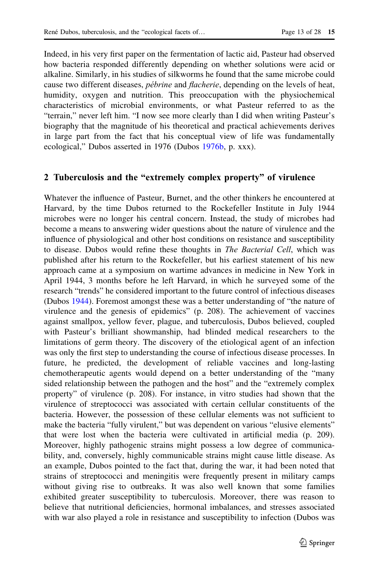Indeed, in his very first paper on the fermentation of lactic aid, Pasteur had observed how bacteria responded differently depending on whether solutions were acid or alkaline. Similarly, in his studies of silkworms he found that the same microbe could cause two different diseases, *pébrine* and *flacherie*, depending on the levels of heat, humidity, oxygen and nutrition. This preoccupation with the physiochemical characteristics of microbial environments, or what Pasteur referred to as the "terrain," never left him. "I now see more clearly than I did when writing Pasteur's biography that the magnitude of his theoretical and practical achievements derives in large part from the fact that his conceptual view of life was fundamentally ecological," Dubos asserted in 1976 (Dubos [1976b](#page-26-0), p. xxx).

#### 2 Tuberculosis and the "extremely complex property" of virulence

Whatever the influence of Pasteur, Burnet, and the other thinkers he encountered at Harvard, by the time Dubos returned to the Rockefeller Institute in July 1944 microbes were no longer his central concern. Instead, the study of microbes had become a means to answering wider questions about the nature of virulence and the influence of physiological and other host conditions on resistance and susceptibility to disease. Dubos would refine these thoughts in The Bacterial Cell, which was published after his return to the Rockefeller, but his earliest statement of his new approach came at a symposium on wartime advances in medicine in New York in April 1944, 3 months before he left Harvard, in which he surveyed some of the research "trends" he considered important to the future control of infectious diseases (Dubos [1944\)](#page-26-0). Foremost amongst these was a better understanding of "the nature of virulence and the genesis of epidemics" (p. 208). The achievement of vaccines against smallpox, yellow fever, plague, and tuberculosis, Dubos believed, coupled with Pasteur's brilliant showmanship, had blinded medical researchers to the limitations of germ theory. The discovery of the etiological agent of an infection was only the first step to understanding the course of infectious disease processes. In future, he predicted, the development of reliable vaccines and long-lasting chemotherapeutic agents would depend on a better understanding of the "many sided relationship between the pathogen and the host" and the "extremely complex property" of virulence (p. 208). For instance, in vitro studies had shown that the virulence of streptococci was associated with certain cellular constituents of the bacteria. However, the possession of these cellular elements was not sufficient to make the bacteria "fully virulent," but was dependent on various "elusive elements" that were lost when the bacteria were cultivated in artificial media (p. 209). Moreover, highly pathogenic strains might possess a low degree of communicability, and, conversely, highly communicable strains might cause little disease. As an example, Dubos pointed to the fact that, during the war, it had been noted that strains of streptococci and meningitis were frequently present in military camps without giving rise to outbreaks. It was also well known that some families exhibited greater susceptibility to tuberculosis. Moreover, there was reason to believe that nutritional deficiencies, hormonal imbalances, and stresses associated with war also played a role in resistance and susceptibility to infection (Dubos was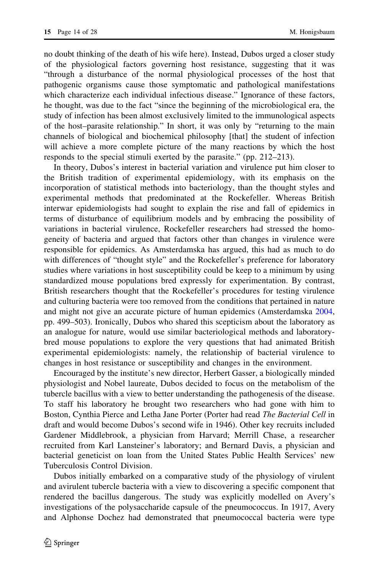no doubt thinking of the death of his wife here). Instead, Dubos urged a closer study of the physiological factors governing host resistance, suggesting that it was "through a disturbance of the normal physiological processes of the host that pathogenic organisms cause those symptomatic and pathological manifestations which characterize each individual infectious disease." Ignorance of these factors, he thought, was due to the fact "since the beginning of the microbiological era, the study of infection has been almost exclusively limited to the immunological aspects of the host–parasite relationship." In short, it was only by "returning to the main channels of biological and biochemical philosophy [that] the student of infection will achieve a more complete picture of the many reactions by which the host responds to the special stimuli exerted by the parasite." (pp. 212–213).

In theory, Dubos's interest in bacterial variation and virulence put him closer to the British tradition of experimental epidemiology, with its emphasis on the incorporation of statistical methods into bacteriology, than the thought styles and experimental methods that predominated at the Rockefeller. Whereas British interwar epidemiologists had sought to explain the rise and fall of epidemics in terms of disturbance of equilibrium models and by embracing the possibility of variations in bacterial virulence, Rockefeller researchers had stressed the homogeneity of bacteria and argued that factors other than changes in virulence were responsible for epidemics. As Amsterdamska has argued, this had as much to do with differences of "thought style" and the Rockefeller's preference for laboratory studies where variations in host susceptibility could be keep to a minimum by using standardized mouse populations bred expressly for experimentation. By contrast, British researchers thought that the Rockefeller's procedures for testing virulence and culturing bacteria were too removed from the conditions that pertained in nature and might not give an accurate picture of human epidemics (Amsterdamska [2004,](#page-25-0) pp. 499–503). Ironically, Dubos who shared this scepticism about the laboratory as an analogue for nature, would use similar bacteriological methods and laboratorybred mouse populations to explore the very questions that had animated British experimental epidemiologists: namely, the relationship of bacterial virulence to changes in host resistance or susceptibility and changes in the environment.

Encouraged by the institute's new director, Herbert Gasser, a biologically minded physiologist and Nobel laureate, Dubos decided to focus on the metabolism of the tubercle bacillus with a view to better understanding the pathogenesis of the disease. To staff his laboratory he brought two researchers who had gone with him to Boston, Cynthia Pierce and Letha Jane Porter (Porter had read The Bacterial Cell in draft and would become Dubos's second wife in 1946). Other key recruits included Gardener Middlebrook, a physician from Harvard; Merrill Chase, a researcher recruited from Karl Lansteiner's laboratory; and Bernard Davis, a physician and bacterial geneticist on loan from the United States Public Health Services' new Tuberculosis Control Division.

Dubos initially embarked on a comparative study of the physiology of virulent and avirulent tubercle bacteria with a view to discovering a specific component that rendered the bacillus dangerous. The study was explicitly modelled on Avery's investigations of the polysaccharide capsule of the pneumococcus. In 1917, Avery and Alphonse Dochez had demonstrated that pneumococcal bacteria were type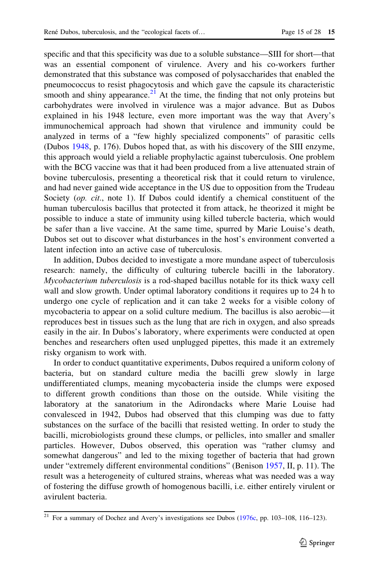specific and that this specificity was due to a soluble substance—SIII for short—that was an essential component of virulence. Avery and his co-workers further demonstrated that this substance was composed of polysaccharides that enabled the pneumococcus to resist phagocytosis and which gave the capsule its characteristic smooth and shiny appearance.<sup>21</sup> At the time, the finding that not only proteins but carbohydrates were involved in virulence was a major advance. But as Dubos explained in his 1948 lecture, even more important was the way that Avery's immunochemical approach had shown that virulence and immunity could be analyzed in terms of a "few highly specialized components" of parasitic cells (Dubos [1948](#page-26-0), p. 176). Dubos hoped that, as with his discovery of the SIII enzyme, this approach would yield a reliable prophylactic against tuberculosis. One problem with the BCG vaccine was that it had been produced from a live attenuated strain of bovine tuberculosis, presenting a theoretical risk that it could return to virulence, and had never gained wide acceptance in the US due to opposition from the Trudeau Society (op. cit., note 1). If Dubos could identify a chemical constituent of the human tuberculosis bacillus that protected it from attack, he theorized it might be possible to induce a state of immunity using killed tubercle bacteria, which would be safer than a live vaccine. At the same time, spurred by Marie Louise's death, Dubos set out to discover what disturbances in the host's environment converted a latent infection into an active case of tuberculosis.

In addition, Dubos decided to investigate a more mundane aspect of tuberculosis research: namely, the difficulty of culturing tubercle bacilli in the laboratory. Mycobacterium tuberculosis is a rod-shaped bacillus notable for its thick waxy cell wall and slow growth. Under optimal laboratory conditions it requires up to 24 h to undergo one cycle of replication and it can take 2 weeks for a visible colony of mycobacteria to appear on a solid culture medium. The bacillus is also aerobic—it reproduces best in tissues such as the lung that are rich in oxygen, and also spreads easily in the air. In Dubos's laboratory, where experiments were conducted at open benches and researchers often used unplugged pipettes, this made it an extremely risky organism to work with.

In order to conduct quantitative experiments, Dubos required a uniform colony of bacteria, but on standard culture media the bacilli grew slowly in large undifferentiated clumps, meaning mycobacteria inside the clumps were exposed to different growth conditions than those on the outside. While visiting the laboratory at the sanatorium in the Adirondacks where Marie Louise had convalesced in 1942, Dubos had observed that this clumping was due to fatty substances on the surface of the bacilli that resisted wetting. In order to study the bacilli, microbiologists ground these clumps, or pellicles, into smaller and smaller particles. However, Dubos observed, this operation was "rather clumsy and somewhat dangerous" and led to the mixing together of bacteria that had grown under "extremely different environmental conditions" (Benison [1957,](#page-26-0) II, p. 11). The result was a heterogeneity of cultured strains, whereas what was needed was a way of fostering the diffuse growth of homogenous bacilli, i.e. either entirely virulent or avirulent bacteria.

 $21$  For a summary of Dochez and Avery's investigations see Dubos ([1976c](#page-26-0), pp. 103–108, 116–123).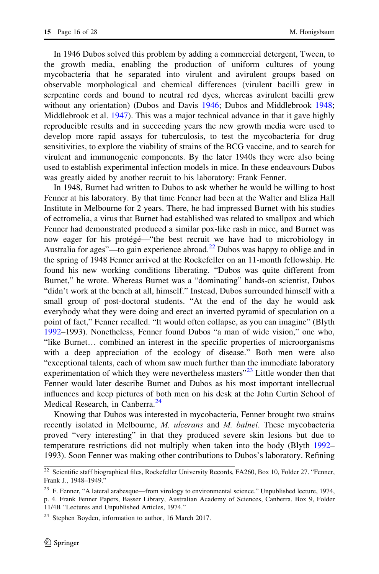In 1946 Dubos solved this problem by adding a commercial detergent, Tween, to the growth media, enabling the production of uniform cultures of young mycobacteria that he separated into virulent and avirulent groups based on observable morphological and chemical differences (virulent bacilli grew in serpentine cords and bound to neutral red dyes, whereas avirulent bacilli grew without any orientation) (Dubos and Davis [1946](#page-26-0); Dubos and Middlebrook [1948;](#page-27-0) Middlebrook et al. [1947\)](#page-27-0). This was a major technical advance in that it gave highly reproducible results and in succeeding years the new growth media were used to develop more rapid assays for tuberculosis, to test the mycobacteria for drug sensitivities, to explore the viability of strains of the BCG vaccine, and to search for virulent and immunogenic components. By the later 1940s they were also being used to establish experimental infection models in mice. In these endeavours Dubos was greatly aided by another recruit to his laboratory: Frank Fenner.

In 1948, Burnet had written to Dubos to ask whether he would be willing to host Fenner at his laboratory. By that time Fenner had been at the Walter and Eliza Hall Institute in Melbourne for 2 years. There, he had impressed Burnet with his studies of ectromelia, a virus that Burnet had established was related to smallpox and which Fenner had demonstrated produced a similar pox-like rash in mice, and Burnet was now eager for his protégé—"the best recruit we have had to microbiology in Australia for ages"—to gain experience abroad.<sup>22</sup> Dubos was happy to oblige and in the spring of 1948 Fenner arrived at the Rockefeller on an 11-month fellowship. He found his new working conditions liberating. "Dubos was quite different from Burnet," he wrote. Whereas Burnet was a "dominating" hands-on scientist, Dubos "didn't work at the bench at all, himself." Instead, Dubos surrounded himself with a small group of post-doctoral students. "At the end of the day he would ask everybody what they were doing and erect an inverted pyramid of speculation on a point of fact," Fenner recalled. "It would often collapse, as you can imagine" (Blyth [1992–](#page-26-0)1993). Nonetheless, Fenner found Dubos "a man of wide vision," one who, "like Burnet… combined an interest in the specific properties of microorganisms with a deep appreciation of the ecology of disease." Both men were also "exceptional talents, each of whom saw much further than the immediate laboratory experimentation of which they were nevertheless masters<sup> $23$ </sup> Little wonder then that Fenner would later describe Burnet and Dubos as his most important intellectual influences and keep pictures of both men on his desk at the John Curtin School of Medical Research, in Canberra.<sup>24</sup>

Knowing that Dubos was interested in mycobacteria, Fenner brought two strains recently isolated in Melbourne, M. ulcerans and M. balnei. These mycobacteria proved "very interesting" in that they produced severe skin lesions but due to temperature restrictions did not multiply when taken into the body (Blyth [1992](#page-26-0)– 1993). Soon Fenner was making other contributions to Dubos's laboratory. Refining

<sup>&</sup>lt;sup>22</sup> Scientific staff biographical files, Rockefeller University Records, FA260, Box 10, Folder 27. "Fenner, Frank J., 1948–1949."

<sup>&</sup>lt;sup>23</sup> F. Fenner, "A lateral arabesque—from virology to environmental science." Unpublished lecture, 1974, p. 4. Frank Fenner Papers, Basser Library, Australian Academy of Sciences, Canberra. Box 9, Folder 11/4B "Lectures and Unpublished Articles, 1974."

<sup>&</sup>lt;sup>24</sup> Stephen Boyden, information to author, 16 March 2017.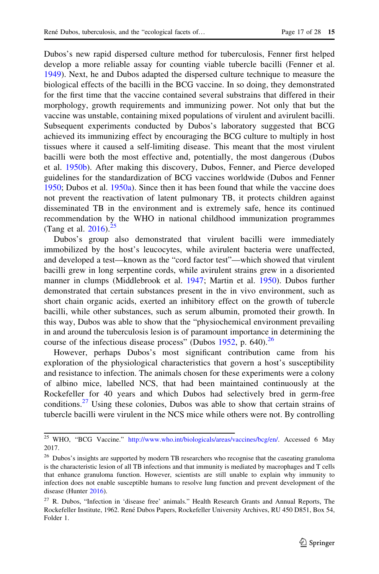Dubos's new rapid dispersed culture method for tuberculosis, Fenner first helped develop a more reliable assay for counting viable tubercle bacilli (Fenner et al. [1949\)](#page-27-0). Next, he and Dubos adapted the dispersed culture technique to measure the biological effects of the bacilli in the BCG vaccine. In so doing, they demonstrated for the first time that the vaccine contained several substrains that differed in their morphology, growth requirements and immunizing power. Not only that but the vaccine was unstable, containing mixed populations of virulent and avirulent bacilli. Subsequent experiments conducted by Dubos's laboratory suggested that BCG achieved its immunizing effect by encouraging the BCG culture to multiply in host tissues where it caused a self-limiting disease. This meant that the most virulent bacilli were both the most effective and, potentially, the most dangerous (Dubos et al. [1950b\)](#page-27-0). After making this discovery, Dubos, Fenner, and Pierce developed guidelines for the standardization of BCG vaccines worldwide (Dubos and Fenner [1950;](#page-26-0) Dubos et al. [1950a\)](#page-27-0). Since then it has been found that while the vaccine does not prevent the reactivation of latent pulmonary TB, it protects children against disseminated TB in the environment and is extremely safe, hence its continued recommendation by the WHO in national childhood immunization programmes (Tang et al.  $2016$ ).<sup>25</sup>

Dubos's group also demonstrated that virulent bacilli were immediately immobilized by the host's leucocytes, while avirulent bacteria were unaffected, and developed a test—known as the "cord factor test"—which showed that virulent bacilli grew in long serpentine cords, while avirulent strains grew in a disoriented manner in clumps (Middlebrook et al. [1947](#page-27-0); Martin et al. [1950\)](#page-27-0). Dubos further demonstrated that certain substances present in the in vivo environment, such as short chain organic acids, exerted an inhibitory effect on the growth of tubercle bacilli, while other substances, such as serum albumin, promoted their growth. In this way, Dubos was able to show that the "physiochemical environment prevailing in and around the tuberculosis lesion is of paramount importance in determining the course of the infectious disease process" (Dubos  $1952$ , p. 640).<sup>26</sup>

However, perhaps Dubos's most significant contribution came from his exploration of the physiological characteristics that govern a host's susceptibility and resistance to infection. The animals chosen for these experiments were a colony of albino mice, labelled NCS, that had been maintained continuously at the Rockefeller for 40 years and which Dubos had selectively bred in germ-free conditions.<sup>27</sup> Using these colonies, Dubos was able to show that certain strains of tubercle bacilli were virulent in the NCS mice while others were not. By controlling

<sup>&</sup>lt;sup>25</sup> WHO, "BCG Vaccine." <http://www.who.int/biologicals/areas/vaccines/bcg/en/>. Accessed 6 May 2017.

<sup>&</sup>lt;sup>26</sup> Dubos's insights are supported by modern TB researchers who recognise that the caseating granuloma is the characteristic lesion of all TB infections and that immunity is mediated by macrophages and T cells that enhance granuloma function. However, scientists are still unable to explain why immunity to infection does not enable susceptible humans to resolve lung function and prevent development of the disease (Hunter [2016](#page-27-0)).

<sup>&</sup>lt;sup>27</sup> R. Dubos, "Infection in 'disease free' animals." Health Research Grants and Annual Reports, The Rockefeller Institute, 1962. René Dubos Papers, Rockefeller University Archives, RU 450 D851, Box 54, Folder 1.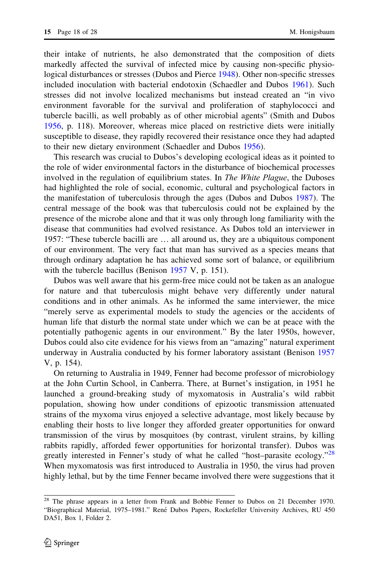their intake of nutrients, he also demonstrated that the composition of diets markedly affected the survival of infected mice by causing non-specific physiological disturbances or stresses (Dubos and Pierce [1948](#page-27-0)). Other non-specific stresses included inoculation with bacterial endotoxin (Schaedler and Dubos [1961\)](#page-28-0). Such stresses did not involve localized mechanisms but instead created an "in vivo environment favorable for the survival and proliferation of staphylococci and tubercle bacilli, as well probably as of other microbial agents" (Smith and Dubos [1956,](#page-28-0) p. 118). Moreover, whereas mice placed on restrictive diets were initially susceptible to disease, they rapidly recovered their resistance once they had adapted to their new dietary environment (Schaedler and Dubos [1956](#page-28-0)).

This research was crucial to Dubos's developing ecological ideas as it pointed to the role of wider environmental factors in the disturbance of biochemical processes involved in the regulation of equilibrium states. In *The White Plague*, the Duboses had highlighted the role of social, economic, cultural and psychological factors in the manifestation of tuberculosis through the ages (Dubos and Dubos [1987](#page-26-0)). The central message of the book was that tuberculosis could not be explained by the presence of the microbe alone and that it was only through long familiarity with the disease that communities had evolved resistance. As Dubos told an interviewer in 1957: "These tubercle bacilli are … all around us, they are a ubiquitous component of our environment. The very fact that man has survived as a species means that through ordinary adaptation he has achieved some sort of balance, or equilibrium with the tubercle bacillus (Benison [1957](#page-26-0) V, p. 151).

Dubos was well aware that his germ-free mice could not be taken as an analogue for nature and that tuberculosis might behave very differently under natural conditions and in other animals. As he informed the same interviewer, the mice "merely serve as experimental models to study the agencies or the accidents of human life that disturb the normal state under which we can be at peace with the potentially pathogenic agents in our environment." By the later 1950s, however, Dubos could also cite evidence for his views from an "amazing" natural experiment underway in Australia conducted by his former laboratory assistant (Benison [1957](#page-26-0) V, p. 154).

On returning to Australia in 1949, Fenner had become professor of microbiology at the John Curtin School, in Canberra. There, at Burnet's instigation, in 1951 he launched a ground-breaking study of myxomatosis in Australia's wild rabbit population, showing how under conditions of epizootic transmission attenuated strains of the myxoma virus enjoyed a selective advantage, most likely because by enabling their hosts to live longer they afforded greater opportunities for onward transmission of the virus by mosquitoes (by contrast, virulent strains, by killing rabbits rapidly, afforded fewer opportunities for horizontal transfer). Dubos was greatly interested in Fenner's study of what he called "host-parasite ecology."<sup>28</sup> When myxomatosis was first introduced to Australia in 1950, the virus had proven highly lethal, but by the time Fenner became involved there were suggestions that it

<sup>&</sup>lt;sup>28</sup> The phrase appears in a letter from Frank and Bobbie Fenner to Dubos on 21 December 1970. "Biographical Material, 1975–1981." René Dubos Papers, Rockefeller University Archives, RU 450 DA51, Box 1, Folder 2.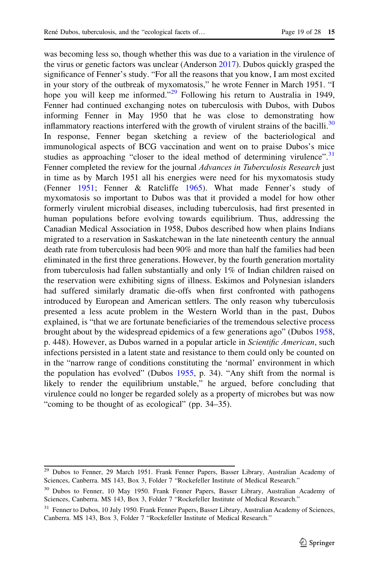was becoming less so, though whether this was due to a variation in the virulence of the virus or genetic factors was unclear (Anderson [2017\)](#page-26-0). Dubos quickly grasped the significance of Fenner's study. "For all the reasons that you know, I am most excited in your story of the outbreak of myxomatosis," he wrote Fenner in March 1951. "I hope you will keep me informed."<sup>29</sup> Following his return to Australia in 1949, Fenner had continued exchanging notes on tuberculosis with Dubos, with Dubos informing Fenner in May 1950 that he was close to demonstrating how inflammatory reactions interfered with the growth of virulent strains of the bacilli.<sup>30</sup> In response, Fenner began sketching a review of the bacteriological and immunological aspects of BCG vaccination and went on to praise Dubos's mice studies as approaching "closer to the ideal method of determining virulence".<sup>31</sup> Fenner completed the review for the journal Advances in Tuberculosis Research just in time as by March 1951 all his energies were need for his myxomatosis study (Fenner [1951;](#page-27-0) Fenner & Ratcliffe [1965\)](#page-27-0). What made Fenner's study of myxomatosis so important to Dubos was that it provided a model for how other formerly virulent microbial diseases, including tuberculosis, had first presented in human populations before evolving towards equilibrium. Thus, addressing the Canadian Medical Association in 1958, Dubos described how when plains Indians migrated to a reservation in Saskatchewan in the late nineteenth century the annual death rate from tuberculosis had been 90% and more than half the families had been eliminated in the first three generations. However, by the fourth generation mortality from tuberculosis had fallen substantially and only 1% of Indian children raised on the reservation were exhibiting signs of illness. Eskimos and Polynesian islanders had suffered similarly dramatic die-offs when first confronted with pathogens introduced by European and American settlers. The only reason why tuberculosis presented a less acute problem in the Western World than in the past, Dubos explained, is "that we are fortunate beneficiaries of the tremendous selective process brought about by the widespread epidemics of a few generations ago" (Dubos [1958,](#page-26-0) p. 448). However, as Dubos warned in a popular article in Scientific American, such infections persisted in a latent state and resistance to them could only be counted on in the "narrow range of conditions constituting the 'normal' environment in which the population has evolved" (Dubos [1955,](#page-26-0) p. 34). "Any shift from the normal is likely to render the equilibrium unstable," he argued, before concluding that virulence could no longer be regarded solely as a property of microbes but was now "coming to be thought of as ecological" (pp. 34–35).

<sup>&</sup>lt;sup>29</sup> Dubos to Fenner, 29 March 1951. Frank Fenner Papers, Basser Library, Australian Academy of Sciences, Canberra. MS 143, Box 3, Folder 7 "Rockefeller Institute of Medical Research."

<sup>30</sup> Dubos to Fenner, 10 May 1950. Frank Fenner Papers, Basser Library, Australian Academy of Sciences, Canberra. MS 143, Box 3, Folder 7 "Rockefeller Institute of Medical Research."

<sup>&</sup>lt;sup>31</sup> Fenner to Dubos, 10 July 1950. Frank Fenner Papers, Basser Library, Australian Academy of Sciences, Canberra. MS 143, Box 3, Folder 7 "Rockefeller Institute of Medical Research."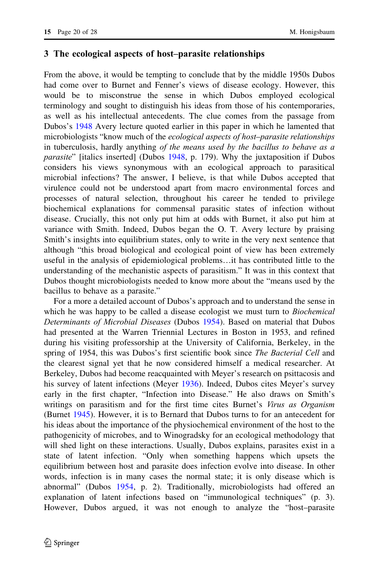#### 3 The ecological aspects of host–parasite relationships

From the above, it would be tempting to conclude that by the middle 1950s Dubos had come over to Burnet and Fenner's views of disease ecology. However, this would be to misconstrue the sense in which Dubos employed ecological terminology and sought to distinguish his ideas from those of his contemporaries, as well as his intellectual antecedents. The clue comes from the passage from Dubos's [1948](#page-26-0) Avery lecture quoted earlier in this paper in which he lamented that microbiologists "know much of the *ecological aspects of host–parasite relationships* in tuberculosis, hardly anything of the means used by the bacillus to behave as a parasite" [italics inserted] (Dubos [1948,](#page-26-0) p. 179). Why the juxtaposition if Dubos considers his views synonymous with an ecological approach to parasitical microbial infections? The answer, I believe, is that while Dubos accepted that virulence could not be understood apart from macro environmental forces and processes of natural selection, throughout his career he tended to privilege biochemical explanations for commensal parasitic states of infection without disease. Crucially, this not only put him at odds with Burnet, it also put him at variance with Smith. Indeed, Dubos began the O. T. Avery lecture by praising Smith's insights into equilibrium states, only to write in the very next sentence that although "this broad biological and ecological point of view has been extremely useful in the analysis of epidemiological problems…it has contributed little to the understanding of the mechanistic aspects of parasitism." It was in this context that Dubos thought microbiologists needed to know more about the "means used by the bacillus to behave as a parasite."

For a more a detailed account of Dubos's approach and to understand the sense in which he was happy to be called a disease ecologist we must turn to *Biochemical* Determinants of Microbial Diseases (Dubos [1954](#page-26-0)). Based on material that Dubos had presented at the Warren Triennial Lectures in Boston in 1953, and refined during his visiting professorship at the University of California, Berkeley, in the spring of 1954, this was Dubos's first scientific book since *The Bacterial Cell* and the clearest signal yet that he now considered himself a medical researcher. At Berkeley, Dubos had become reacquainted with Meyer's research on psittacosis and his survey of latent infections (Meyer [1936](#page-27-0)). Indeed, Dubos cites Meyer's survey early in the first chapter, "Infection into Disease." He also draws on Smith's writings on parasitism and for the first time cites Burnet's *Virus as Organism* (Burnet [1945\)](#page-26-0). However, it is to Bernard that Dubos turns to for an antecedent for his ideas about the importance of the physiochemical environment of the host to the pathogenicity of microbes, and to Winogradsky for an ecological methodology that will shed light on these interactions. Usually, Dubos explains, parasites exist in a state of latent infection. "Only when something happens which upsets the equilibrium between host and parasite does infection evolve into disease. In other words, infection is in many cases the normal state; it is only disease which is abnormal" (Dubos [1954,](#page-26-0) p. 2). Traditionally, microbiologists had offered an explanation of latent infections based on "immunological techniques" (p. 3). However, Dubos argued, it was not enough to analyze the "host–parasite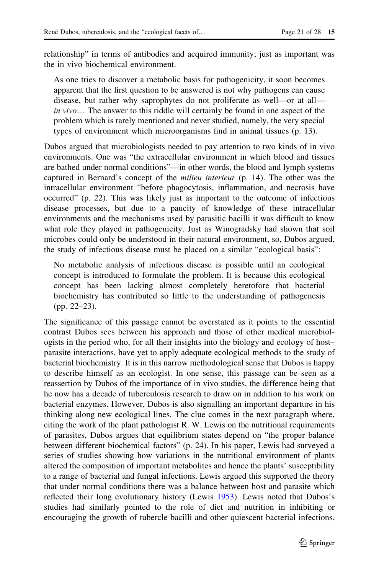relationship" in terms of antibodies and acquired immunity; just as important was the in vivo biochemical environment.

As one tries to discover a metabolic basis for pathogenicity, it soon becomes apparent that the first question to be answered is not why pathogens can cause disease, but rather why saprophytes do not proliferate as well—or at all in vivo… The answer to this riddle will certainly be found in one aspect of the problem which is rarely mentioned and never studied, namely, the very special types of environment which microorganisms find in animal tissues (p. 13).

Dubos argued that microbiologists needed to pay attention to two kinds of in vivo environments. One was "the extracellular environment in which blood and tissues are bathed under normal conditions"—in other words, the blood and lymph systems captured in Bernard's concept of the milieu interieur (p. 14). The other was the intracellular environment "before phagocytosis, inflammation, and necrosis have occurred" (p. 22). This was likely just as important to the outcome of infectious disease processes, but due to a paucity of knowledge of these intracellular environments and the mechanisms used by parasitic bacilli it was difficult to know what role they played in pathogenicity. Just as Winogradsky had shown that soil microbes could only be understood in their natural environment, so, Dubos argued, the study of infectious disease must be placed on a similar "ecological basis":

No metabolic analysis of infectious disease is possible until an ecological concept is introduced to formulate the problem. It is because this ecological concept has been lacking almost completely heretofore that bacterial biochemistry has contributed so little to the understanding of pathogenesis (pp. 22–23).

The significance of this passage cannot be overstated as it points to the essential contrast Dubos sees between his approach and those of other medical microbiologists in the period who, for all their insights into the biology and ecology of host– parasite interactions, have yet to apply adequate ecological methods to the study of bacterial biochemistry. It is in this narrow methodological sense that Dubos is happy to describe himself as an ecologist. In one sense, this passage can be seen as a reassertion by Dubos of the importance of in vivo studies, the difference being that he now has a decade of tuberculosis research to draw on in addition to his work on bacterial enzymes. However, Dubos is also signalling an important departure in his thinking along new ecological lines. The clue comes in the next paragraph where, citing the work of the plant pathologist R. W. Lewis on the nutritional requirements of parasites, Dubos argues that equilibrium states depend on "the proper balance between different biochemical factors" (p. 24). In his paper, Lewis had surveyed a series of studies showing how variations in the nutritional environment of plants altered the composition of important metabolites and hence the plants' susceptibility to a range of bacterial and fungal infections. Lewis argued this supported the theory that under normal conditions there was a balance between host and parasite which reflected their long evolutionary history (Lewis [1953\)](#page-27-0). Lewis noted that Dubos's studies had similarly pointed to the role of diet and nutrition in inhibiting or encouraging the growth of tubercle bacilli and other quiescent bacterial infections.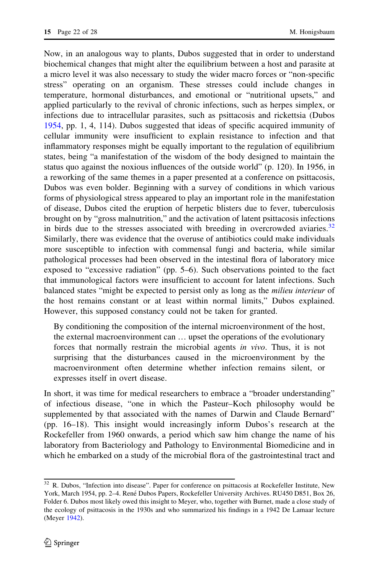Now, in an analogous way to plants, Dubos suggested that in order to understand biochemical changes that might alter the equilibrium between a host and parasite at a micro level it was also necessary to study the wider macro forces or "non-specific stress" operating on an organism. These stresses could include changes in temperature, hormonal disturbances, and emotional or "nutritional upsets," and applied particularly to the revival of chronic infections, such as herpes simplex, or infections due to intracellular parasites, such as psittacosis and rickettsia (Dubos [1954,](#page-26-0) pp. 1, 4, 114). Dubos suggested that ideas of specific acquired immunity of cellular immunity were insufficient to explain resistance to infection and that inflammatory responses might be equally important to the regulation of equilibrium states, being "a manifestation of the wisdom of the body designed to maintain the status quo against the noxious influences of the outside world" (p. 120). In 1956, in a reworking of the same themes in a paper presented at a conference on psittacosis, Dubos was even bolder. Beginning with a survey of conditions in which various forms of physiological stress appeared to play an important role in the manifestation of disease, Dubos cited the eruption of herpetic blisters due to fever, tuberculosis brought on by "gross malnutrition," and the activation of latent psittacosis infections in birds due to the stresses associated with breeding in overcrowded aviaries.<sup>32</sup> Similarly, there was evidence that the overuse of antibiotics could make individuals more susceptible to infection with commensal fungi and bacteria, while similar pathological processes had been observed in the intestinal flora of laboratory mice exposed to "excessive radiation" (pp. 5–6). Such observations pointed to the fact that immunological factors were insufficient to account for latent infections. Such balanced states "might be expected to persist only as long as the *milieu interieur* of the host remains constant or at least within normal limits," Dubos explained. However, this supposed constancy could not be taken for granted.

By conditioning the composition of the internal microenvironment of the host, the external macroenvironment can … upset the operations of the evolutionary forces that normally restrain the microbial agents in vivo. Thus, it is not surprising that the disturbances caused in the microenvironment by the macroenvironment often determine whether infection remains silent, or expresses itself in overt disease.

In short, it was time for medical researchers to embrace a "broader understanding" of infectious disease, "one in which the Pasteur–Koch philosophy would be supplemented by that associated with the names of Darwin and Claude Bernard" (pp. 16–18). This insight would increasingly inform Dubos's research at the Rockefeller from 1960 onwards, a period which saw him change the name of his laboratory from Bacteriology and Pathology to Environmental Biomedicine and in which he embarked on a study of the microbial flora of the gastrointestinal tract and

<sup>&</sup>lt;sup>32</sup> R. Dubos, "Infection into disease". Paper for conference on psittacosis at Rockefeller Institute, New York, March 1954, pp. 2–4. René Dubos Papers, Rockefeller University Archives. RU450 D851, Box 26, Folder 6. Dubos most likely owed this insight to Meyer, who, together with Burnet, made a close study of the ecology of psittacosis in the 1930s and who summarized his findings in a 1942 De Lamaar lecture (Meyer [1942\)](#page-27-0).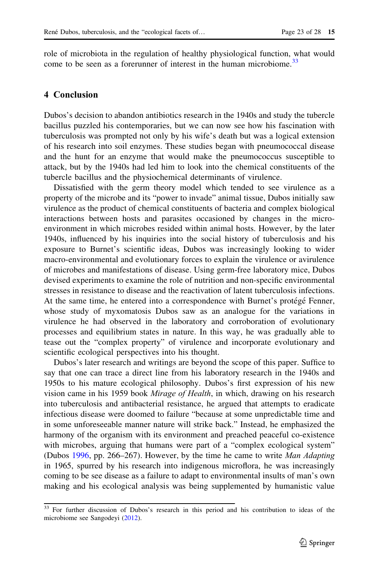role of microbiota in the regulation of healthy physiological function, what would come to be seen as a forerunner of interest in the human microbiome.<sup>33</sup>

#### 4 Conclusion

Dubos's decision to abandon antibiotics research in the 1940s and study the tubercle bacillus puzzled his contemporaries, but we can now see how his fascination with tuberculosis was prompted not only by his wife's death but was a logical extension of his research into soil enzymes. These studies began with pneumococcal disease and the hunt for an enzyme that would make the pneumococcus susceptible to attack, but by the 1940s had led him to look into the chemical constituents of the tubercle bacillus and the physiochemical determinants of virulence.

Dissatisfied with the germ theory model which tended to see virulence as a property of the microbe and its "power to invade" animal tissue, Dubos initially saw virulence as the product of chemical constituents of bacteria and complex biological interactions between hosts and parasites occasioned by changes in the microenvironment in which microbes resided within animal hosts. However, by the later 1940s, influenced by his inquiries into the social history of tuberculosis and his exposure to Burnet's scientific ideas, Dubos was increasingly looking to wider macro-environmental and evolutionary forces to explain the virulence or avirulence of microbes and manifestations of disease. Using germ-free laboratory mice, Dubos devised experiments to examine the role of nutrition and non-specific environmental stresses in resistance to disease and the reactivation of latent tuberculosis infections. At the same time, he entered into a correspondence with Burnet's protégé Fenner, whose study of myxomatosis Dubos saw as an analogue for the variations in virulence he had observed in the laboratory and corroboration of evolutionary processes and equilibrium states in nature. In this way, he was gradually able to tease out the "complex property" of virulence and incorporate evolutionary and scientific ecological perspectives into his thought.

Dubos's later research and writings are beyond the scope of this paper. Suffice to say that one can trace a direct line from his laboratory research in the 1940s and 1950s to his mature ecological philosophy. Dubos's first expression of his new vision came in his 1959 book *Mirage of Health*, in which, drawing on his research into tuberculosis and antibacterial resistance, he argued that attempts to eradicate infectious disease were doomed to failure "because at some unpredictable time and in some unforeseeable manner nature will strike back." Instead, he emphasized the harmony of the organism with its environment and preached peaceful co-existence with microbes, arguing that humans were part of a "complex ecological system" (Dubos [1996](#page-26-0), pp. 266–267). However, by the time he came to write Man Adapting in 1965, spurred by his research into indigenous microflora, he was increasingly coming to be see disease as a failure to adapt to environmental insults of man's own making and his ecological analysis was being supplemented by humanistic value

<sup>&</sup>lt;sup>33</sup> For further discussion of Dubos's research in this period and his contribution to ideas of the microbiome see Sangodeyi ([2012\)](#page-28-0).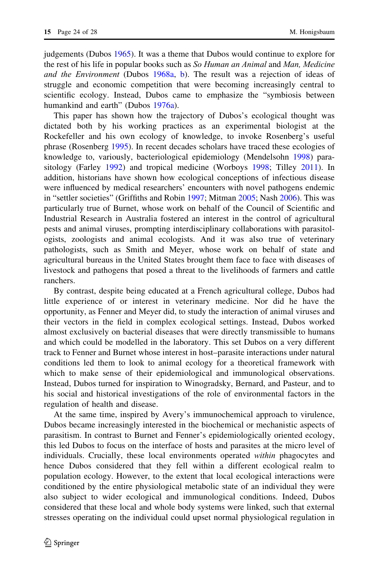judgements (Dubos [1965\)](#page-26-0). It was a theme that Dubos would continue to explore for the rest of his life in popular books such as *So Human an Animal* and *Man, Medicine* and the Environment (Dubos [1968a,](#page-26-0) [b](#page-26-0)). The result was a rejection of ideas of struggle and economic competition that were becoming increasingly central to scientific ecology. Instead, Dubos came to emphasize the "symbiosis between humankind and earth" (Dubos [1976a](#page-26-0)).

This paper has shown how the trajectory of Dubos's ecological thought was dictated both by his working practices as an experimental biologist at the Rockefeller and his own ecology of knowledge, to invoke Rosenberg's useful phrase (Rosenberg [1995\)](#page-28-0). In recent decades scholars have traced these ecologies of knowledge to, variously, bacteriological epidemiology (Mendelsohn [1998\)](#page-27-0) parasitology (Farley [1992](#page-27-0)) and tropical medicine (Worboys [1998](#page-28-0); Tilley [2011](#page-28-0)). In addition, historians have shown how ecological conceptions of infectious disease were influenced by medical researchers' encounters with novel pathogens endemic in "settler societies" (Griffiths and Robin [1997](#page-27-0); Mitman [2005](#page-27-0); Nash [2006](#page-27-0)). This was particularly true of Burnet, whose work on behalf of the Council of Scientific and Industrial Research in Australia fostered an interest in the control of agricultural pests and animal viruses, prompting interdisciplinary collaborations with parasitologists, zoologists and animal ecologists. And it was also true of veterinary pathologists, such as Smith and Meyer, whose work on behalf of state and agricultural bureaus in the United States brought them face to face with diseases of livestock and pathogens that posed a threat to the livelihoods of farmers and cattle ranchers.

By contrast, despite being educated at a French agricultural college, Dubos had little experience of or interest in veterinary medicine. Nor did he have the opportunity, as Fenner and Meyer did, to study the interaction of animal viruses and their vectors in the field in complex ecological settings. Instead, Dubos worked almost exclusively on bacterial diseases that were directly transmissible to humans and which could be modelled in the laboratory. This set Dubos on a very different track to Fenner and Burnet whose interest in host–parasite interactions under natural conditions led them to look to animal ecology for a theoretical framework with which to make sense of their epidemiological and immunological observations. Instead, Dubos turned for inspiration to Winogradsky, Bernard, and Pasteur, and to his social and historical investigations of the role of environmental factors in the regulation of health and disease.

At the same time, inspired by Avery's immunochemical approach to virulence, Dubos became increasingly interested in the biochemical or mechanistic aspects of parasitism. In contrast to Burnet and Fenner's epidemiologically oriented ecology, this led Dubos to focus on the interface of hosts and parasites at the micro level of individuals. Crucially, these local environments operated *within* phagocytes and hence Dubos considered that they fell within a different ecological realm to population ecology. However, to the extent that local ecological interactions were conditioned by the entire physiological metabolic state of an individual they were also subject to wider ecological and immunological conditions. Indeed, Dubos considered that these local and whole body systems were linked, such that external stresses operating on the individual could upset normal physiological regulation in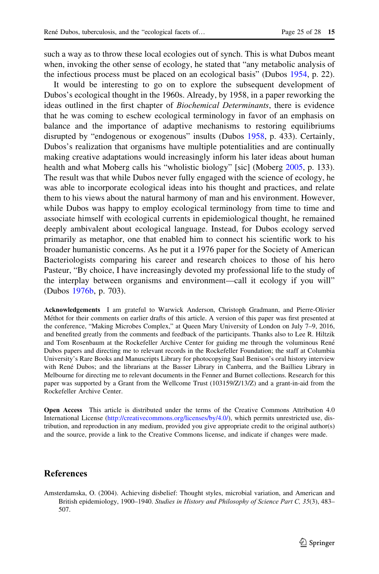<span id="page-25-0"></span>such a way as to throw these local ecologies out of synch. This is what Dubos meant when, invoking the other sense of ecology, he stated that "any metabolic analysis of the infectious process must be placed on an ecological basis" (Dubos [1954](#page-26-0), p. 22).

It would be interesting to go on to explore the subsequent development of Dubos's ecological thought in the 1960s. Already, by 1958, in a paper reworking the ideas outlined in the first chapter of Biochemical Determinants, there is evidence that he was coming to eschew ecological terminology in favor of an emphasis on balance and the importance of adaptive mechanisms to restoring equilibriums disrupted by "endogenous or exogenous" insults (Dubos [1958,](#page-26-0) p. 433). Certainly, Dubos's realization that organisms have multiple potentialities and are continually making creative adaptations would increasingly inform his later ideas about human health and what Moberg calls his "wholistic biology" [sic] (Moberg [2005](#page-27-0), p. 133). The result was that while Dubos never fully engaged with the science of ecology, he was able to incorporate ecological ideas into his thought and practices, and relate them to his views about the natural harmony of man and his environment. However, while Dubos was happy to employ ecological terminology from time to time and associate himself with ecological currents in epidemiological thought, he remained deeply ambivalent about ecological language. Instead, for Dubos ecology served primarily as metaphor, one that enabled him to connect his scientific work to his broader humanistic concerns. As he put it a 1976 paper for the Society of American Bacteriologists comparing his career and research choices to those of his hero Pasteur, "By choice, I have increasingly devoted my professional life to the study of the interplay between organisms and environment—call it ecology if you will" (Dubos [1976b,](#page-26-0) p. 703).

Acknowledgements I am grateful to Warwick Anderson, Christoph Gradmann, and Pierre-Olivier Méthot for their comments on earlier drafts of this article. A version of this paper was first presented at the conference, "Making Microbes Complex," at Queen Mary University of London on July 7–9, 2016, and benefited greatly from the comments and feedback of the participants. Thanks also to Lee R. Hiltzik and Tom Rosenbaum at the Rockefeller Archive Center for guiding me through the voluminous René Dubos papers and directing me to relevant records in the Rockefeller Foundation; the staff at Columbia University's Rare Books and Manuscripts Library for photocopying Saul Benison's oral history interview with René Dubos; and the librarians at the Basser Library in Canberra, and the Baillieu Library in Melbourne for directing me to relevant documents in the Fenner and Burnet collections. Research for this paper was supported by a Grant from the Wellcome Trust (103159/Z/13/Z) and a grant-in-aid from the Rockefeller Archive Center.

Open Access This article is distributed under the terms of the Creative Commons Attribution 4.0 International License ([http://creativecommons.org/licenses/by/4.0/\)](http://creativecommons.org/licenses/by/4.0/), which permits unrestricted use, distribution, and reproduction in any medium, provided you give appropriate credit to the original author(s) and the source, provide a link to the Creative Commons license, and indicate if changes were made.

#### References

Amsterdamska, O. (2004). Achieving disbelief: Thought styles, microbial variation, and American and British epidemiology, 1900–1940. Studies in History and Philosophy of Science Part C, 35(3), 483– 507.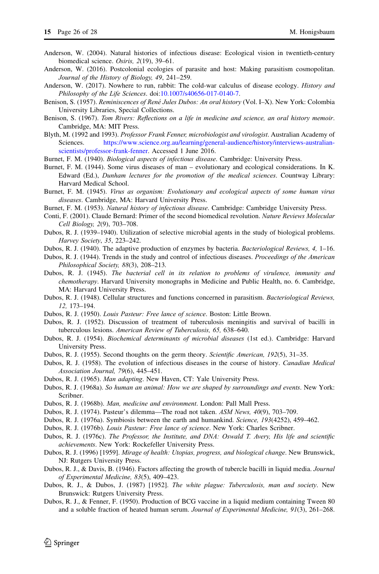- <span id="page-26-0"></span>Anderson, W. (2004). Natural histories of infectious disease: Ecological vision in twentieth-century biomedical science. Osiris, 2(19), 39–61.
- Anderson, W. (2016). Postcolonial ecologies of parasite and host: Making parasitism cosmopolitan. Journal of the History of Biology, 49, 241–259.
- Anderson, W. (2017). Nowhere to run, rabbit: The cold-war calculus of disease ecology. *History and* Philosophy of the Life Sciences. doi[:10.1007/s40656-017-0140-7.](http://dx.doi.org/10.1007/s40656-017-0140-7)
- Benison, S. (1957). Reminiscences of René Jules Dubos: An oral history (Vol. I-X). New York: Colombia University Libraries, Special Collections.
- Benison, S. (1967). Tom Rivers: Reflections on a life in medicine and science, an oral history memoir. Cambridge, MA: MIT Press.
- Blyth, M. (1992 and 1993). Professor Frank Fenner, microbiologist and virologist. Australian Academy of Sciences. [https://www.science.org.au/learning/general-audience/history/interviews-australian](https://www.science.org.au/learning/general-audience/history/interviews-australian-scientists/professor-frank-fenner)[scientists/professor-frank-fenner](https://www.science.org.au/learning/general-audience/history/interviews-australian-scientists/professor-frank-fenner). Accessed 1 June 2016.
- Burnet, F. M. (1940). Biological aspects of infectious disease. Cambridge: University Press.
- Burnet, F. M. (1944). Some virus diseases of man evolutionary and ecological considerations. In K. Edward (Ed.), Dunham lectures for the promotion of the medical sciences. Countway Library: Harvard Medical School.
- Burnet, F. M. (1945). Virus as organism: Evolutionary and ecological aspects of some human virus diseases. Cambridge, MA: Harvard University Press.
- Burnet, F. M. (1953). Natural history of infectious disease. Cambridge: Cambridge University Press.
- Conti, F. (2001). Claude Bernard: Primer of the second biomedical revolution. Nature Reviews Molecular Cell Biology, 2(9), 703–708.
- Dubos, R. J. (1939–1940). Utilization of selective microbial agents in the study of biological problems. Harvey Society, 35, 223–242.
- Dubos, R. J. (1940). The adaptive production of enzymes by bacteria. Bacteriological Reviews, 4, 1–16.
- Dubos, R. J. (1944). Trends in the study and control of infectious diseases. Proceedings of the American Philosophical Society, 88(3), 208–213.
- Dubos, R. J. (1945). The bacterial cell in its relation to problems of virulence, immunity and chemotherapy. Harvard University monographs in Medicine and Public Health, no. 6. Cambridge, MA: Harvard University Press.
- Dubos, R. J. (1948). Cellular structures and functions concerned in parasitism. Bacteriological Reviews, 12, 173–194.
- Dubos, R. J. (1950). Louis Pasteur: Free lance of science. Boston: Little Brown.
- Dubos, R. J. (1952). Discussion of treatment of tuberculosis meningitis and survival of bacilli in tuberculous lesions. American Review of Tuberculosis, 65, 638–640.
- Dubos, R. J. (1954). Biochemical determinants of microbial diseases (1st ed.). Cambridge: Harvard University Press.
- Dubos, R. J. (1955). Second thoughts on the germ theory. Scientific American, 192(5), 31–35.
- Dubos, R. J. (1958). The evolution of infectious diseases in the course of history. Canadian Medical Association Journal, 79(6), 445–451.
- Dubos, R. J. (1965). Man adapting. New Haven, CT: Yale University Press.
- Dubos, R. J. (1968a). So human an animal: How we are shaped by surroundings and events. New York: Scribner.
- Dubos, R. J. (1968b). Man, medicine and environment. London: Pall Mall Press.
- Dubos, R. J. (1974). Pasteur's dilemma—The road not taken. ASM News, 40(9), 703–709.
- Dubos, R. J. (1976a). Symbiosis between the earth and humankind. Science, 193(4252), 459–462.
- Dubos, R. J. (1976b). Louis Pasteur: Free lance of science. New York: Charles Scribner.
- Dubos, R. J. (1976c). The Professor, the Institute, and DNA: Oswald T. Avery, His life and scientific achievements. New York: Rockefeller University Press.
- Dubos, R. J. (1996) [1959]. Mirage of health: Utopias, progress, and biological change. New Brunswick, NJ: Rutgers University Press.
- Dubos, R. J., & Davis, B. (1946). Factors affecting the growth of tubercle bacilli in liquid media. *Journal* of Experimental Medicine, 83(5), 409–423.
- Dubos, R. J., & Dubos, J. (1987) [1952]. The white plague: Tuberculosis, man and society. New Brunswick: Rutgers University Press.
- Dubos, R. J., & Fenner, F. (1950). Production of BCG vaccine in a liquid medium containing Tween 80 and a soluble fraction of heated human serum. Journal of Experimental Medicine, 91(3), 261–268.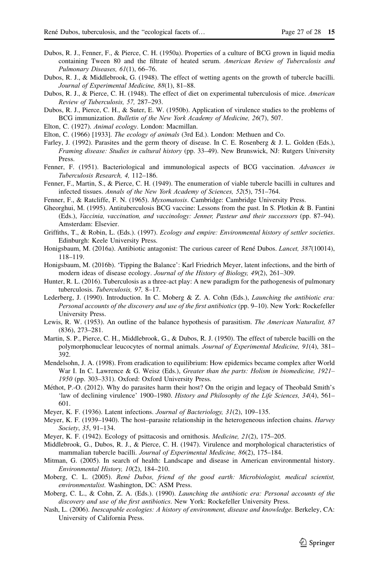- <span id="page-27-0"></span>Dubos, R. J., Fenner, F., & Pierce, C. H. (1950a). Properties of a culture of BCG grown in liquid media containing Tween 80 and the filtrate of heated serum. American Review of Tuberculosis and Pulmonary Diseases, 61(1), 66-76.
- Dubos, R. J., & Middlebrook, G. (1948). The effect of wetting agents on the growth of tubercle bacilli. Journal of Experimental Medicine, 88(1), 81–88.
- Dubos, R. J., & Pierce, C. H. (1948). The effect of diet on experimental tuberculosis of mice. American Review of Tuberculosis, 57, 287–293.
- Dubos, R. J., Pierce, C. H., & Suter, E. W. (1950b). Application of virulence studies to the problems of BCG immunization. Bulletin of the New York Academy of Medicine, 26(7), 507.
- Elton, C. (1927). Animal ecology. London: Macmillan.
- Elton, C. (1966) [1933]. The ecology of animals (3rd Ed.). London: Methuen and Co.
- Farley, J. (1992). Parasites and the germ theory of disease. In C. E. Rosenberg & J. L. Golden (Eds.), Framing disease: Studies in cultural history (pp. 33–49). New Brunswick, NJ: Rutgers University Press.
- Fenner, F. (1951). Bacteriological and immunological aspects of BCG vaccination. Advances in Tuberculosis Research, 4, 112–186.
- Fenner, F., Martin, S., & Pierce, C. H. (1949). The enumeration of viable tubercle bacilli in cultures and infected tissues. Annals of the New York Academy of Sciences, 52(5), 751–764.
- Fenner, F., & Ratcliffe, F. N. (1965). *Myxomatosis*. Cambridge: Cambridge University Press.
- Gheorghui, M. (1995). Antituberculosis BCG vaccine: Lessons from the past. In S. Plotkin & B. Fantini (Eds.), Vaccinia, vaccination, and vaccinology: Jenner, Pasteur and their successors (pp. 87–94). Amsterdam: Elsevier.
- Griffiths, T., & Robin, L. (Eds.). (1997). Ecology and empire: Environmental history of settler societies. Edinburgh: Keele University Press.
- Honigsbaum, M. (2016a). Antibiotic antagonist: The curious career of René Dubos. Lancet, 387(10014), 118–119.
- Honigsbaum, M. (2016b). 'Tipping the Balance': Karl Friedrich Meyer, latent infections, and the birth of modern ideas of disease ecology. Journal of the History of Biology, 49(2), 261–309.
- Hunter, R. L. (2016). Tuberculosis as a three-act play: A new paradigm for the pathogenesis of pulmonary tuberculosis. Tuberculosis, 97, 8–17.
- Lederberg, J. (1990). Introduction. In C. Moberg & Z. A. Cohn (Eds.), *Launching the antibiotic era:* Personal accounts of the discovery and use of the first antibiotics (pp. 9–10). New York: Rockefeller University Press.
- Lewis, R. W. (1953). An outline of the balance hypothesis of parasitism. The American Naturalist, 87 (836), 273–281.
- Martin, S. P., Pierce, C. H., Middlebrook, G., & Dubos, R. J. (1950). The effect of tubercle bacilli on the polymorphonuclear leucocytes of normal animals. Journal of Experimental Medicine, 91(4), 381– 392.
- Mendelsohn, J. A. (1998). From eradication to equilibrium: How epidemics became complex after World War I. In C. Lawrence & G. Weisz (Eds.), Greater than the parts: Holism in biomedicine, 1921– 1950 (pp. 303–331). Oxford: Oxford University Press.
- Méthot, P.-O. (2012). Why do parasites harm their host? On the origin and legacy of Theobald Smith's 'law of declining virulence' 1900–1980. History and Philosophy of the Life Sciences, 34(4), 561– 601.
- Meyer, K. F. (1936). Latent infections. Journal of Bacteriology, 31(2), 109-135.
- Meyer, K. F. (1939–1940). The host–parasite relationship in the heterogeneous infection chains. Harvey Society, 35, 91–134.
- Meyer, K. F. (1942). Ecology of psittacosis and ornithosis. Medicine, 21(2), 175–205.
- Middlebrook, G., Dubos, R. J., & Pierce, C. H. (1947). Virulence and morphological characteristics of mammalian tubercle bacilli. Journal of Experimental Medicine, 86(2), 175–184.
- Mitman, G. (2005). In search of health: Landscape and disease in American environmental history. Environmental History, 10(2), 184–210.
- Moberg, C. L. (2005). René Dubos, friend of the good earth: Microbiologist, medical scientist, environmentalist. Washington, DC: ASM Press.
- Moberg, C. L., & Cohn, Z. A. (Eds.). (1990). Launching the antibiotic era: Personal accounts of the discovery and use of the first antibiotics. New York: Rockefeller University Press.
- Nash, L. (2006). Inescapable ecologies: A history of environment, disease and knowledge. Berkeley, CA: University of California Press.